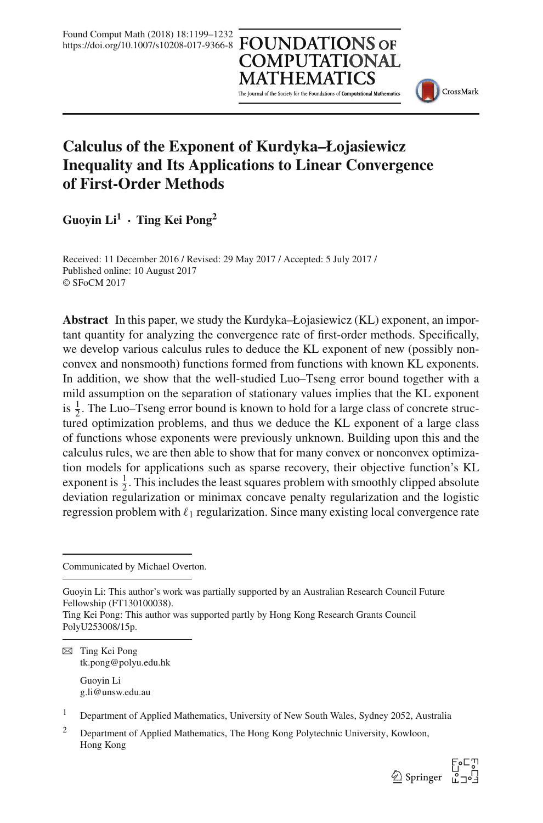# **COMPUTATIONAL**

The Journal of the Society for the Foundations of Computational Mathematics



# **Calculus of the Exponent of Kurdyka–Łojasiewicz Inequality and Its Applications to Linear Convergence of First-Order Methods**

**Guoyin Li<sup>1</sup> · Ting Kei Pong<sup>2</sup>**

Received: 11 December 2016 / Revised: 29 May 2017 / Accepted: 5 July 2017 / Published online: 10 August 2017 © SFoCM 2017

**Abstract** In this paper, we study the Kurdyka–Łojasiewicz (KL) exponent, an important quantity for analyzing the convergence rate of first-order methods. Specifically, we develop various calculus rules to deduce the KL exponent of new (possibly nonconvex and nonsmooth) functions formed from functions with known KL exponents. In addition, we show that the well-studied Luo–Tseng error bound together with a mild assumption on the separation of stationary values implies that the KL exponent is  $\frac{1}{2}$ . The Luo–Tseng error bound is known to hold for a large class of concrete structured optimization problems, and thus we deduce the KL exponent of a large class of functions whose exponents were previously unknown. Building upon this and the calculus rules, we are then able to show that for many convex or nonconvex optimization models for applications such as sparse recovery, their objective function's KL exponent is  $\frac{1}{2}$ . This includes the least squares problem with smoothly clipped absolute deviation regularization or minimax concave penalty regularization and the logistic regression problem with  $\ell_1$  regularization. Since many existing local convergence rate

Communicated by Michael Overton.

 $\boxtimes$  Ting Kei Pong tk.pong@polyu.edu.hk

> Guoyin Li g.li@unsw.edu.au

<sup>1</sup> Department of Applied Mathematics, University of New South Wales, Sydney 2052, Australia

<sup>&</sup>lt;sup>2</sup> Department of Applied Mathematics, The Hong Kong Polytechnic University, Kowloon, Hong Kong



Guoyin Li: This author's work was partially supported by an Australian Research Council Future Fellowship (FT130100038).

Ting Kei Pong: This author was supported partly by Hong Kong Research Grants Council PolyU253008/15p.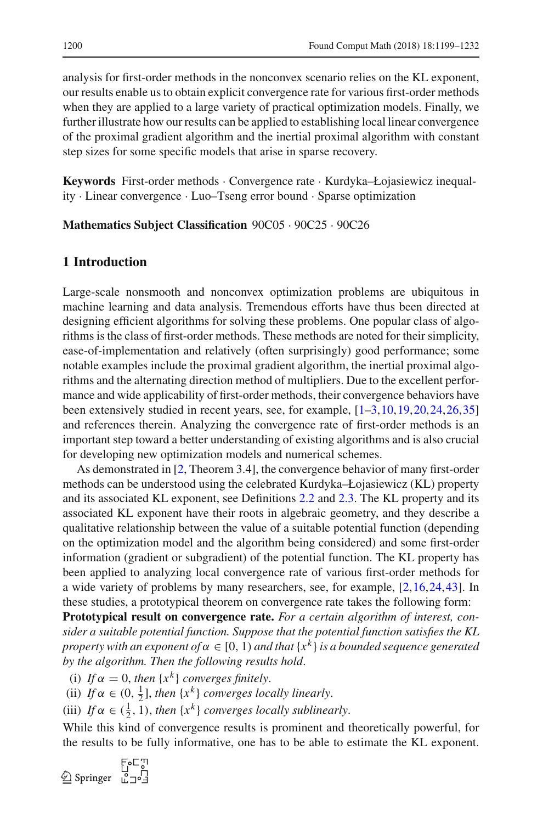analysis for first-order methods in the nonconvex scenario relies on the KL exponent, our results enable us to obtain explicit convergence rate for various first-order methods when they are applied to a large variety of practical optimization models. Finally, we further illustrate how our results can be applied to establishing local linear convergence of the proximal gradient algorithm and the inertial proximal algorithm with constant step sizes for some specific models that arise in sparse recovery.

**Keywords** First-order methods · Convergence rate · Kurdyka–Łojasiewicz inequality · Linear convergence · Luo–Tseng error bound · Sparse optimization

**Mathematics Subject Classification** 90C05 · 90C25 · 90C26

# **1 Introduction**

Large-scale nonsmooth and nonconvex optimization problems are ubiquitous in machine learning and data analysis. Tremendous efforts have thus been directed at designing efficient algorithms for solving these problems. One popular class of algorithms is the class of first-order methods. These methods are noted for their simplicity, ease-of-implementation and relatively (often surprisingly) good performance; some notable examples include the proximal gradient algorithm, the inertial proximal algorithms and the alternating direction method of multipliers. Due to the excellent performance and wide applicability of first-order methods, their convergence behaviors have been extensively studied in recent years, see, for example, [\[1](#page-31-0)[–3](#page-31-1),[10,](#page-31-2)[19](#page-32-0)[,20](#page-32-1)[,24](#page-32-2),[26,](#page-32-3)[35\]](#page-32-4) and references therein. Analyzing the convergence rate of first-order methods is an important step toward a better understanding of existing algorithms and is also crucial for developing new optimization models and numerical schemes.

As demonstrated in [\[2,](#page-31-3) Theorem 3.4], the convergence behavior of many first-order methods can be understood using the celebrated Kurdyka–Łojasiewicz (KL) property and its associated KL exponent, see Definitions [2.2](#page-5-0) and [2.3.](#page-5-1) The KL property and its associated KL exponent have their roots in algebraic geometry, and they describe a qualitative relationship between the value of a suitable potential function (depending on the optimization model and the algorithm being considered) and some first-order information (gradient or subgradient) of the potential function. The KL property has been applied to analyzing local convergence rate of various first-order methods for a wide variety of problems by many researchers, see, for example, [\[2](#page-31-3)[,16](#page-32-5),[24,](#page-32-2)[43\]](#page-33-0). In these studies, a prototypical theorem on convergence rate takes the following form:

**Prototypical result on convergence rate.** *For a certain algorithm of interest, consider a suitable potential function. Suppose that the potential function satisfies the KL property with an exponent of*  $\alpha \in [0, 1)$  *and that*  $\{x^k\}$  *is a bounded sequence generated by the algorithm. Then the following results hold*.

- (i) *If*  $\alpha = 0$ , *then*  $\{x^k\}$  *converges finitely.*
- (ii) If  $\alpha \in (0, \frac{1}{2}]$ , then  $\{x^k\}$  *converges locally linearly*.
- (iii) *If*  $\alpha \in (\frac{1}{2}, 1)$ , *then*  $\{x^k\}$  *converges locally sublinearly*.

While this kind of convergence results is prominent and theoretically powerful, for the results to be fully informative, one has to be able to estimate the KL exponent.

$$
\textcircled{\textcolor{red}{\sum}} \text{Springer} \begin{array}{c} \text{F}_0 \sqsubset \text{I} \\ \sqcup \\ \sqcap \\ \sqcup \end{array}
$$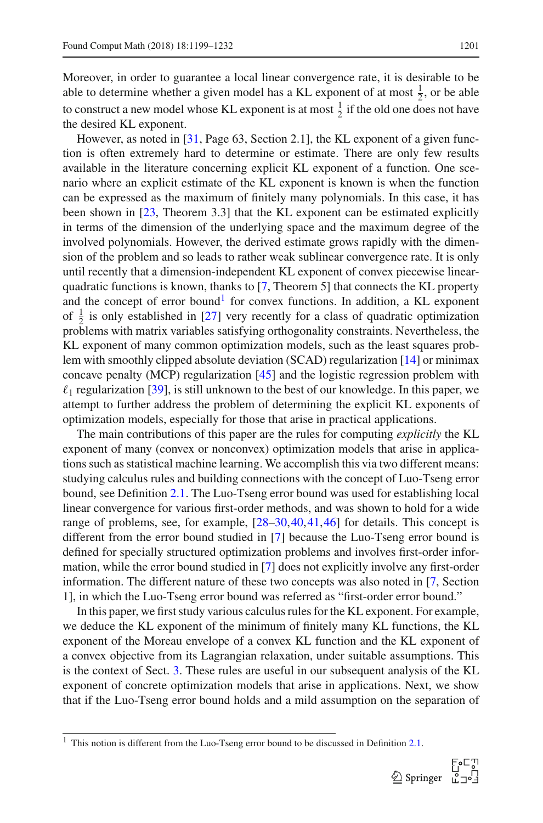Moreover, in order to guarantee a local linear convergence rate, it is desirable to be able to determine whether a given model has a KL exponent of at most  $\frac{1}{2}$ , or be able to construct a new model whose KL exponent is at most  $\frac{1}{2}$  if the old one does not have the desired KL exponent.

However, as noted in [\[31](#page-32-6), Page 63, Section 2.1], the KL exponent of a given function is often extremely hard to determine or estimate. There are only few results available in the literature concerning explicit KL exponent of a function. One scenario where an explicit estimate of the KL exponent is known is when the function can be expressed as the maximum of finitely many polynomials. In this case, it has been shown in [\[23,](#page-32-7) Theorem 3.3] that the KL exponent can be estimated explicitly in terms of the dimension of the underlying space and the maximum degree of the involved polynomials. However, the derived estimate grows rapidly with the dimension of the problem and so leads to rather weak sublinear convergence rate. It is only until recently that a dimension-independent KL exponent of convex piecewise linearquadratic functions is known, thanks to [\[7](#page-31-4), Theorem 5] that connects the KL property and the concept of error bound<sup>1</sup> for convex functions. In addition, a KL exponent of  $\frac{1}{2}$  is only established in [\[27\]](#page-32-8) very recently for a class of quadratic optimization problems with matrix variables satisfying orthogonality constraints. Nevertheless, the KL exponent of many common optimization models, such as the least squares problem with smoothly clipped absolute deviation (SCAD) regularization [\[14](#page-31-5)] or minimax concave penalty (MCP) regularization [\[45\]](#page-33-1) and the logistic regression problem with  $\ell_1$  regularization [\[39\]](#page-32-9), is still unknown to the best of our knowledge. In this paper, we attempt to further address the problem of determining the explicit KL exponents of optimization models, especially for those that arise in practical applications.

The main contributions of this paper are the rules for computing *explicitly* the KL exponent of many (convex or nonconvex) optimization models that arise in applications such as statistical machine learning. We accomplish this via two different means: studying calculus rules and building connections with the concept of Luo-Tseng error bound, see Definition [2.1.](#page-4-0) The Luo-Tseng error bound was used for establishing local linear convergence for various first-order methods, and was shown to hold for a wide range of problems, see, for example, [\[28](#page-32-10)[–30](#page-32-11),[40,](#page-32-12)[41](#page-32-13)[,46](#page-33-2)] for details. This concept is different from the error bound studied in [\[7\]](#page-31-4) because the Luo-Tseng error bound is defined for specially structured optimization problems and involves first-order information, while the error bound studied in [\[7\]](#page-31-4) does not explicitly involve any first-order information. The different nature of these two concepts was also noted in [\[7](#page-31-4), Section 1], in which the Luo-Tseng error bound was referred as "first-order error bound."

In this paper, we first study various calculus rules for the KL exponent. For example, we deduce the KL exponent of the minimum of finitely many KL functions, the KL exponent of the Moreau envelope of a convex KL function and the KL exponent of a convex objective from its Lagrangian relaxation, under suitable assumptions. This is the context of Sect. [3.](#page-6-0) These rules are useful in our subsequent analysis of the KL exponent of concrete optimization models that arise in applications. Next, we show that if the Luo-Tseng error bound holds and a mild assumption on the separation of

<span id="page-2-0"></span><sup>1</sup> This notion is different from the Luo-Tseng error bound to be discussed in Definition [2.1.](#page-4-0)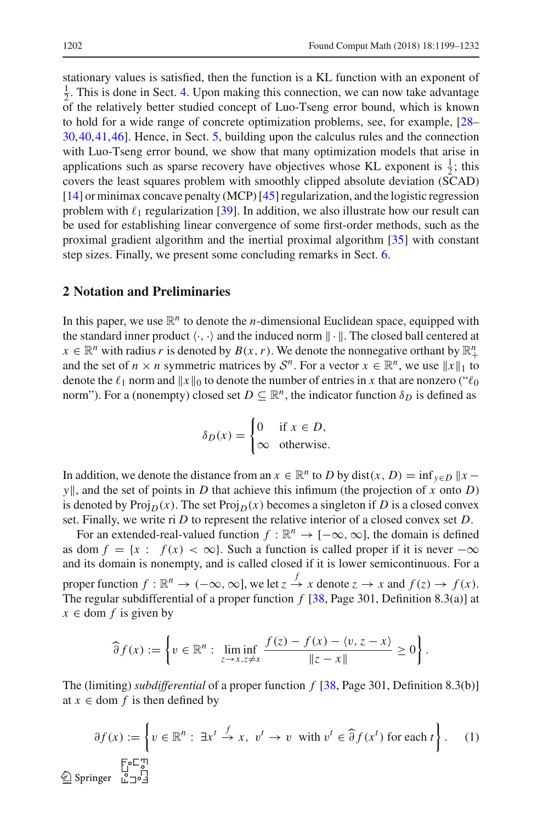stationary values is satisfied, then the function is a KL function with an exponent of  $\frac{1}{2}$ . This is done in Sect. [4.](#page-17-0) Upon making this connection, we can now take advantage of the relatively better studied concept of Luo-Tseng error bound, which is known to hold for a wide range of concrete optimization problems, see, for example, [\[28](#page-32-10)– [30,](#page-32-11)[40](#page-32-12)[,41](#page-32-13)[,46](#page-33-2)]. Hence, in Sect. [5,](#page-21-0) building upon the calculus rules and the connection with Luo-Tseng error bound, we show that many optimization models that arise in applications such as sparse recovery have objectives whose KL exponent is  $\frac{1}{2}$ ; this covers the least squares problem with smoothly clipped absolute deviation (SCAD) [\[14](#page-31-5)] or minimax concave penalty (MCP) [\[45\]](#page-33-1) regularization, and the logistic regression problem with  $\ell_1$  regularization [\[39\]](#page-32-9). In addition, we also illustrate how our result can be used for establishing linear convergence of some first-order methods, such as the proximal gradient algorithm and the inertial proximal algorithm [\[35](#page-32-4)] with constant step sizes. Finally, we present some concluding remarks in Sect. [6.](#page-29-0)

# **2 Notation and Preliminaries**

In this paper, we use  $\mathbb{R}^n$  to denote the *n*-dimensional Euclidean space, equipped with the standard inner product  $\langle \cdot, \cdot \rangle$  and the induced norm  $\|\cdot\|$ . The closed ball centered at  $x \in \mathbb{R}^n$  with radius *r* is denoted by  $B(x, r)$ . We denote the nonnegative orthant by  $\mathbb{R}^n_+$ and the set of  $n \times n$  symmetric matrices by  $S^n$ . For a vector  $x \in \mathbb{R}^n$ , we use  $||x||_1$  to denote the  $\ell_1$  norm and  $\|x\|_0$  to denote the number of entries in *x* that are nonzero (" $\ell_0$ ") norm"). For a (nonempty) closed set  $D \subseteq \mathbb{R}^n$ , the indicator function  $\delta_D$  is defined as

$$
\delta_D(x) = \begin{cases} 0 & \text{if } x \in D, \\ \infty & \text{otherwise.} \end{cases}
$$

In addition, we denote the distance from an  $x \in \mathbb{R}^n$  to *D* by dist $(x, D) = \inf_{y \in D} ||x - y||$ *y* $\parallel$ , and the set of points in *D* that achieve this infimum (the projection of *x* onto *D*) is denoted by Proj $_D(x)$ . The set Proj $_D(x)$  becomes a singleton if *D* is a closed convex set. Finally, we write ri *D* to represent the relative interior of a closed convex set *D*.

For an extended-real-valued function  $f : \mathbb{R}^n \to [-\infty, \infty]$ , the domain is defined as dom  $f = \{x : f(x) < \infty\}$ . Such a function is called proper if it is never  $-\infty$ and its domain is nonempty, and is called closed if it is lower semicontinuous. For a proper function  $f: \mathbb{R}^n \to (-\infty, \infty]$ , we let  $z \stackrel{f}{\to} x$  denote  $z \to x$  and  $f(z) \to f(x)$ . The regular subdifferential of a proper function *f* [\[38,](#page-32-14) Page 301, Definition 8.3(a)] at  $x \in$  dom  $f$  is given by

$$
\widehat{\partial} f(x) := \left\{ v \in \mathbb{R}^n : \liminf_{z \to x, z \neq x} \frac{f(z) - f(x) - \langle v, z - x \rangle}{\|z - x\|} \geq 0 \right\}.
$$

The (limiting) *subdifferential* of a proper function *f* [\[38](#page-32-14), Page 301, Definition 8.3(b)] at  $x \in$  dom  $f$  is then defined by

<span id="page-3-0"></span><sup>∂</sup> *<sup>f</sup>* (*x*) := <sup>v</sup> <sup>∈</sup> <sup>R</sup>*<sup>n</sup>* : ∃*x<sup>t</sup> <sup>f</sup>* <sup>→</sup> *<sup>x</sup>*, v*<sup>t</sup>* <sup>→</sup> <sup>v</sup> with <sup>v</sup>*<sup>t</sup>* <sup>∈</sup> <sup>∂</sup> *<sup>f</sup>* (*x<sup>t</sup>* ) for each *t* . (1) 123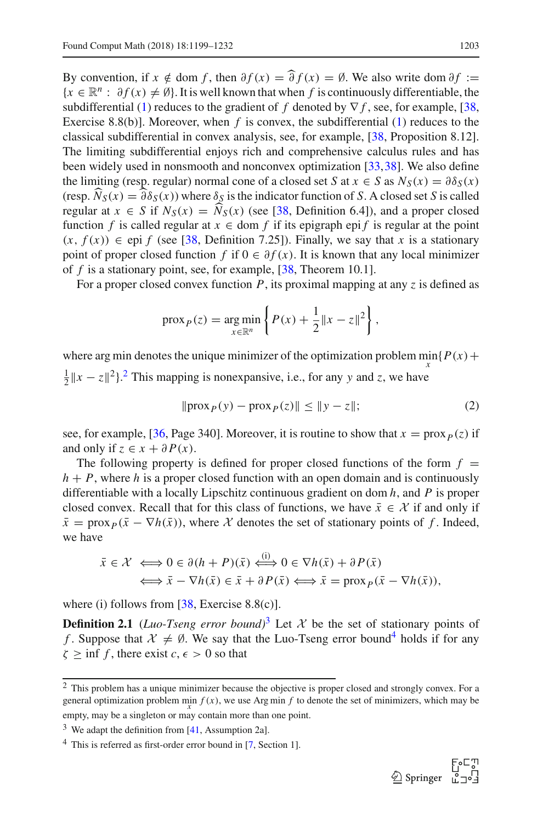By convention, if  $x \notin \text{dom } f$ , then  $\partial f(x) = \hat{\partial} f(x) = \emptyset$ . We also write dom  $\partial f :=$  ${x \in \mathbb{R}^n : \partial f(x) \neq \emptyset}$ . It is well known that when f is continuously differentiable, the subdifferential [\(1\)](#page-3-0) reduces to the gradient of *f* denoted by ∇ *f* , see, for example, [\[38,](#page-32-14) Exercise 8.8(b)]. Moreover, when *f* is convex, the subdifferential [\(1\)](#page-3-0) reduces to the classical subdifferential in convex analysis, see, for example, [\[38,](#page-32-14) Proposition 8.12]. The limiting subdifferential enjoys rich and comprehensive calculus rules and has been widely used in nonsmooth and nonconvex optimization [\[33](#page-32-15)[,38](#page-32-14)]. We also define the limiting (resp. regular) normal cone of a closed set *S* at  $x \in S$  as  $N_S(x) = \partial \delta_S(x)$ (resp.  $N_S(x) = \partial \delta_S(x)$ ) where  $\delta_S$  is the indicator function of *S*. A closed set *S* is called<br>results at  $x \in S$  if  $N(G) = \widehat{N}(x)$  (see [28] Definition 6.41) and a graper algoed regular at  $x \in S$  if  $N_S(x) = N_S(x)$  (see [\[38,](#page-32-14) Definition 6.4]), and a proper closed function *f* is called regular at  $x \in$  dom *f* if its epigraph epi *f* is regular at the point  $(x, f(x)) \in$  epi *f* (see [\[38](#page-32-14), Definition 7.25]). Finally, we say that *x* is a stationary point of proper closed function *f* if  $0 \in \partial f(x)$ . It is known that any local minimizer of *f* is a stationary point, see, for example, [\[38](#page-32-14), Theorem 10.1].

For a proper closed convex function *P*, its proximal mapping at any *z* is defined as

$$
\text{prox}_P(z) = \underset{x \in \mathbb{R}^n}{\text{arg min}} \left\{ P(x) + \frac{1}{2} \|x - z\|^2 \right\},\,
$$

where arg min denotes the unique minimizer of the optimization problem  $\min\{P(x) + P(x)\}$  $\frac{1}{2}||x - z||^2$  $\frac{1}{2}||x - z||^2$  $\frac{1}{2}||x - z||^2$ .<sup>2</sup> This mapping is nonexpansive, i.e., for any *y* and *z*, we have

<span id="page-4-4"></span>
$$
\|{\rm prox}_P(y) - {\rm prox}_P(z)\| \le \|y - z\|; \tag{2}
$$

see, for example, [\[36,](#page-32-16) Page 340]. Moreover, it is routine to show that  $x = prox_{p}(z)$  if and only if  $z \in x + \partial P(x)$ .

The following property is defined for proper closed functions of the form  $f =$  $h + P$ , where *h* is a proper closed function with an open domain and is continuously differentiable with a locally Lipschitz continuous gradient on dom *h*, and *P* is proper closed convex. Recall that for this class of functions, we have  $\bar{x} \in \mathcal{X}$  if and only if  $\bar{x}$  = prox<sub>*P*</sub>( $\bar{x}$  –  $\nabla$ *h*( $\bar{x}$ )), where *X* denotes the set of stationary points of *f*. Indeed, we have

$$
\begin{aligned} \bar{x} \in \mathcal{X} &\iff 0 \in \partial (h + P)(\bar{x}) \xleftrightarrow{\text{(i)}} 0 \in \nabla h(\bar{x}) + \partial P(\bar{x}) \\ &\iff \bar{x} - \nabla h(\bar{x}) \in \bar{x} + \partial P(\bar{x}) \iff \bar{x} = \text{prox}_P(\bar{x} - \nabla h(\bar{x})), \end{aligned}
$$

<span id="page-4-0"></span>where (i) follows from  $[38, \text{ Exercise } 8.8(c)]$  $[38, \text{ Exercise } 8.8(c)]$ .

**Definition 2.1** (*Luo-Tseng error bound*)<sup>[3](#page-4-2)</sup> Let  $\mathcal{X}$  be the set of stationary points of *f*. Suppose that  $\mathcal{X} \neq \emptyset$ . We say that the Luo-Tseng error bound<sup>4</sup> holds if for any  $\zeta \ge \inf f$ , there exist  $c, \epsilon > 0$  so that



<span id="page-4-1"></span> $\overline{2}$  This problem has a unique minimizer because the objective is proper closed and strongly convex. For a general optimization problem min  $f(x)$ , we use Arg min  $f$  to denote the set of minimizers, which may be empty, may be a singleton or may contain more than one point.

 $3$  We adapt the definition from [\[41,](#page-32-13) Assumption 2a].

<span id="page-4-3"></span><span id="page-4-2"></span><sup>4</sup> This is referred as first-order error bound in [\[7](#page-31-4), Section 1].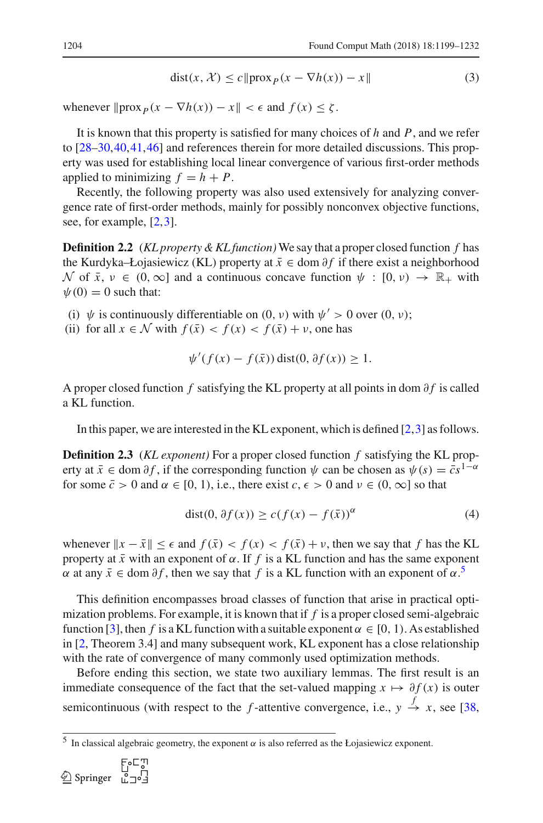<span id="page-5-4"></span>
$$
dist(x, \mathcal{X}) \le c \| prox_P (x - \nabla h(x)) - x \|
$$
 (3)

whenever  $\|\text{prox}_{P}(x - \nabla h(x)) - x\| < \epsilon$  and  $f(x) \le \zeta$ .

It is known that this property is satisfied for many choices of *h* and *P*, and we refer to [\[28](#page-32-10)[–30](#page-32-11)[,40](#page-32-12),[41,](#page-32-13)[46\]](#page-33-2) and references therein for more detailed discussions. This property was used for establishing local linear convergence of various first-order methods applied to minimizing  $f = h + P$ .

Recently, the following property was also used extensively for analyzing convergence rate of first-order methods, mainly for possibly nonconvex objective functions, see, for example, [\[2](#page-31-3),[3\]](#page-31-1).

<span id="page-5-0"></span>**Definition 2.2** (*KL property & KL function)*We say that a proper closed function *f* has the Kurdyka–Łojasiewicz (KL) property at  $\bar{x}$  ∈ dom  $\partial f$  if there exist a neighborhood  $\mathcal N$  of  $\bar x$ ,  $\nu \in (0,\infty]$  and a continuous concave function  $\psi : [0,\nu) \to \mathbb{R}_+$  with  $\psi(0) = 0$  such that:

(i)  $\psi$  is continuously differentiable on (0, v) with  $\psi' > 0$  over (0, v);

(ii) for all  $x \in \mathcal{N}$  with  $f(\bar{x}) < f(x) < f(\bar{x}) + \nu$ , one has

$$
\psi'(f(x) - f(\bar{x})) \operatorname{dist}(0, \partial f(x)) \ge 1.
$$

A proper closed function *f* satisfying the KL property at all points in dom ∂*f* is called a KL function.

<span id="page-5-1"></span>In this paper, we are interested in the KL exponent, which is defined  $[2,3]$  $[2,3]$  $[2,3]$  as follows.

**Definition 2.3** (*KL exponent)* For a proper closed function *f* satisfying the KL property at  $\bar{x} \in \text{dom } \partial f$ , if the corresponding function  $\psi$  can be chosen as  $\psi(s) = \bar{c} s^{1-\alpha}$ for some  $\bar{c} > 0$  and  $\alpha \in [0, 1)$ , i.e., there exist  $c, \epsilon > 0$  and  $\nu \in (0, \infty]$  so that

<span id="page-5-3"></span>
$$
dist(0, \partial f(x)) \ge c(f(x) - f(\bar{x}))^{\alpha}
$$
 (4)

whenever  $\|x - \bar{x}\| \leq \epsilon$  and  $f(\bar{x}) < f(x) < f(\bar{x}) + \nu$ , then we say that f has the KL property at  $\bar{x}$  with an exponent of  $\alpha$ . If  $f$  is a KL function and has the same exponent  $\alpha$  at any  $\bar{x} \in \text{dom } \partial f$ , then we say that  $f$  is a KL function with an exponent of  $\alpha$ .<sup>[5](#page-5-2)</sup>

This definition encompasses broad classes of function that arise in practical optimization problems. For example, it is known that if *f* is a proper closed semi-algebraic function [\[3\]](#page-31-1), then *f* is a KL function with a suitable exponent  $\alpha \in [0, 1)$ . As established in [\[2,](#page-31-3) Theorem 3.4] and many subsequent work, KL exponent has a close relationship with the rate of convergence of many commonly used optimization methods.

Before ending this section, we state two auxiliary lemmas. The first result is an immediate consequence of the fact that the set-valued mapping  $x \mapsto \partial f(x)$  is outer semicontinuous (with respect to the *f*-attentive convergence, i.e.,  $y \stackrel{f}{\rightarrow} x$ , see [\[38,](#page-32-14)

<span id="page-5-2"></span><sup>&</sup>lt;sup>5</sup> In classical algebraic geometry, the exponent  $\alpha$  is also referred as the Łojasiewicz exponent.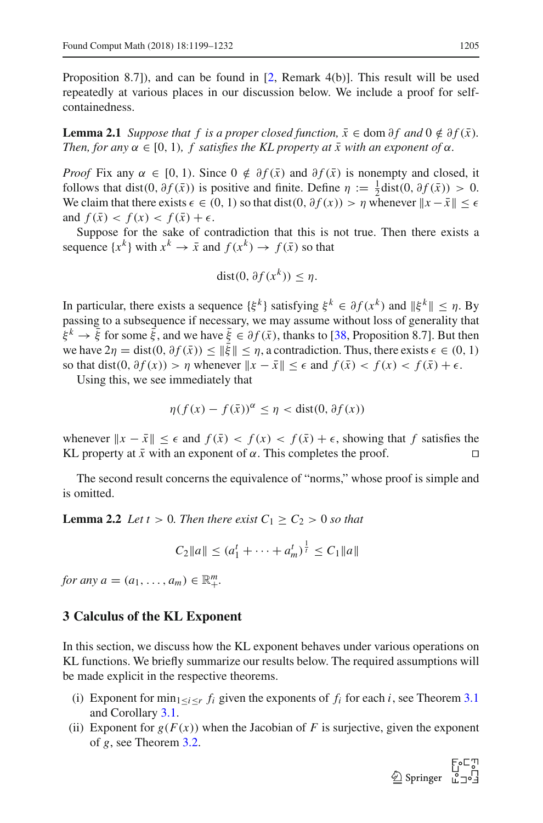<span id="page-6-2"></span>Proposition 8.7]), and can be found in [\[2,](#page-31-3) Remark 4(b)]. This result will be used repeatedly at various places in our discussion below. We include a proof for selfcontainedness.

**Lemma 2.1** *Suppose that f is a proper closed function,*  $\bar{x} \in \text{dom } \partial f$  *and*  $0 \notin \partial f(\bar{x})$ *. Then, for any*  $\alpha \in [0, 1)$ *, f satisfies the KL property at*  $\overline{x}$  with an exponent of  $\alpha$ *.* 

*Proof* Fix any  $\alpha \in [0, 1)$ . Since  $0 \notin \partial f(\bar{x})$  and  $\partial f(\bar{x})$  is nonempty and closed, it follows that dist(0,  $\partial f(\bar{x})$ ) is positive and finite. Define  $\eta := \frac{1}{2}$ dist(0,  $\partial f(\bar{x}) > 0$ . We claim that there exists  $\epsilon \in (0, 1)$  so that dist $(0, \partial f(x)) > \eta$  whenever  $||x - \overline{x}|| \leq \epsilon$ and  $f(\bar{x}) < f(x) < f(\bar{x}) + \epsilon$ .

Suppose for the sake of contradiction that this is not true. Then there exists a sequence  $\{x^k\}$  with  $x^k \to \bar{x}$  and  $f(x^k) \to f(\bar{x})$  so that

$$
dist(0, \partial f(x^k)) \le \eta.
$$

In particular, there exists a sequence  $\{\xi^k\}$  satisfying  $\xi^k \in \partial f(x^k)$  and  $\|\xi^k\| \leq \eta$ . By passing to a subsequence if necessary, we may assume without loss of generality that  $\xi^k \to \bar{\xi}$  for some  $\bar{\xi}$ , and we have  $\bar{\xi} \in \partial f(\bar{x})$ , thanks to [\[38,](#page-32-14) Proposition 8.7]. But then we have  $2\eta = \text{dist}(0, \partial f(\bar{x})) \le ||\bar{\xi}|| \le \eta$ , a contradiction. Thus, there exists  $\epsilon \in (0, 1)$ so that dist(0,  $\partial f(x) > \eta$  whenever  $\|x - \bar{x}\| \leq \epsilon$  and  $f(\bar{x}) < f(x) < f(\bar{x}) + \epsilon$ .

Using this, we see immediately that

$$
\eta(f(x) - f(\bar{x}))^{\alpha} \le \eta < \text{dist}(0, \partial f(x))
$$

whenever  $||x - \bar{x}|| \le \epsilon$  and  $f(\bar{x}) < f(x) < f(\bar{x}) + \epsilon$ , showing that *f* satisfies the KL property at  $\bar{x}$  with an exponent of  $\alpha$ . This completes the proof. □ KL property at  $\bar{x}$  with an exponent of  $\alpha$ . This completes the proof.

<span id="page-6-1"></span>The second result concerns the equivalence of "norms," whose proof is simple and is omitted.

**Lemma 2.2** *Let*  $t > 0$ *. Then there exist*  $C_1 \ge C_2 > 0$  *so that* 

$$
C_2||a|| \le (a_1^t + \dots + a_m^t)^{\frac{1}{t}} \le C_1||a||
$$

*for any*  $a = (a_1, ..., a_m) \in \mathbb{R}^m_+$ .

#### <span id="page-6-0"></span>**3 Calculus of the KL Exponent**

In this section, we discuss how the KL exponent behaves under various operations on KL functions. We briefly summarize our results below. The required assumptions will be made explicit in the respective theorems.

- (i) Exponent for min<sub>1≤*i*≤*r*  $f_i$  given the exponents of  $f_i$  for each *i*, see Theorem [3.1](#page-7-0)</sub> and Corollary [3.1.](#page-8-0)
- (ii) Exponent for  $g(F(x))$  when the Jacobian of *F* is surjective, given the exponent of *g*, see Theorem [3.2.](#page-8-1)

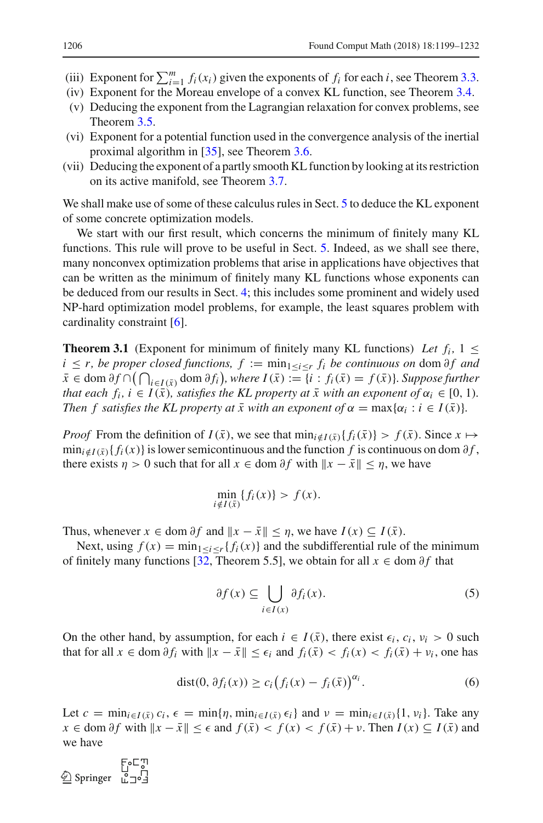- (iii) Exponent for  $\sum_{i=1}^{m} f_i(x_i)$  given the exponents of  $f_i$  for each *i*, see Theorem [3.3.](#page-9-0)
- (iv) Exponent for the Moreau envelope of a convex KL function, see Theorem [3.4.](#page-10-0)
- (v) Deducing the exponent from the Lagrangian relaxation for convex problems, see Theorem [3.5.](#page-12-0)
- (vi) Exponent for a potential function used in the convergence analysis of the inertial proximal algorithm in [\[35\]](#page-32-4), see Theorem [3.6.](#page-14-0)
- (vii) Deducing the exponent of a partly smooth KL function by looking at its restriction on its active manifold, see Theorem [3.7.](#page-16-0)

We shall make use of some of these calculus rules in Sect. [5](#page-21-0) to deduce the KL exponent of some concrete optimization models.

We start with our first result, which concerns the minimum of finitely many KL functions. This rule will prove to be useful in Sect. [5.](#page-21-0) Indeed, as we shall see there, many nonconvex optimization problems that arise in applications have objectives that can be written as the minimum of finitely many KL functions whose exponents can be deduced from our results in Sect. [4;](#page-17-0) this includes some prominent and widely used NP-hard optimization model problems, for example, the least squares problem with cardinality constraint [\[6\]](#page-31-6).

<span id="page-7-0"></span>**Theorem 3.1** (Exponent for minimum of finitely many KL functions) Let  $f_i$ ,  $1 \leq$ *i* ≤ *r*, *be proper closed functions,*  $f := min_{1 \le i \le r} f_i$  *<i>be continuous on dom*  $\partial f$  *and*  $\bar{x}$  ∈ dom  $\partial f \cap (\bigcap_{i \in I(\bar{x})}$  dom  $\partial f_i$ , where  $I(\bar{x}) := \{i : f_i(\bar{x}) = f(\bar{x})\}$ *. Suppose further that each f<sub>i</sub>, i* ∈ *I*( $\bar{x}$ )*, satisfies the KL property at*  $\bar{x}$  *with an exponent of*  $\alpha_i \in [0, 1)$ *. Then f satisfies the KL property at*  $\bar{x}$  with an exponent of  $\alpha = \max{\{\alpha_i : i \in I(\bar{x})\}}$ .

*Proof* From the definition of  $I(\bar{x})$ , we see that  $\min_{i \notin I(\bar{x})} \{f_i(\bar{x})\} > f(\bar{x})$ . Since  $x \mapsto$  $\min_{i \notin I(\bar{x})} \{f_i(x)\}\$ is lower semicontinuous and the function *f* is continuous on dom  $\partial f$ , there exists  $\eta > 0$  such that for all  $x \in \text{dom } \partial f$  with  $\|x - \bar{x}\| \leq \eta$ , we have

$$
\min_{i \notin I(\bar{x})} \{f_i(x)\} > f(x).
$$

Thus, whenever  $x \in \text{dom } \partial f$  and  $||x - \bar{x}|| \leq \eta$ , we have  $I(x) \subseteq I(\bar{x})$ .

Next, using  $f(x) = \min_{1 \le i \le r} \{f_i(x)\}\$ and the subdifferential rule of the minimum of finitely many functions [\[32,](#page-32-17) Theorem 5.5], we obtain for all  $x \in \text{dom } \partial f$  that

<span id="page-7-1"></span>
$$
\partial f(x) \subseteq \bigcup_{i \in I(x)} \partial f_i(x). \tag{5}
$$

On the other hand, by assumption, for each  $i \in I(\bar{x})$ , there exist  $\epsilon_i$ ,  $c_i$ ,  $v_i > 0$  such that for all  $x \in \text{dom } \partial f_i$  with  $\|x - \bar{x}\| \leq \epsilon_i$  and  $f_i(\bar{x}) < f_i(x) < f_i(\bar{x}) + v_i$ , one has

<span id="page-7-2"></span>
$$
dist(0, \partial f_i(x)) \ge c_i \big(f_i(x) - f_i(\bar{x})\big)^{\alpha_i}.
$$
 (6)

Let  $c = \min_{i \in I(\bar{x})} c_i$ ,  $\epsilon = \min\{\eta, \min_{i \in I(\bar{x})} \epsilon_i\}$  and  $\nu = \min_{i \in I(\bar{x})} \{1, v_i\}$ . Take any  $x \in \text{dom } \partial f$  with  $||x - \bar{x}|| \leq \epsilon$  and  $f(\bar{x}) < f(x) < f(\bar{x}) + \nu$ . Then  $I(x) \subseteq I(\bar{x})$  and we have

الي⊃ه E<br>10<br>12°12 Springer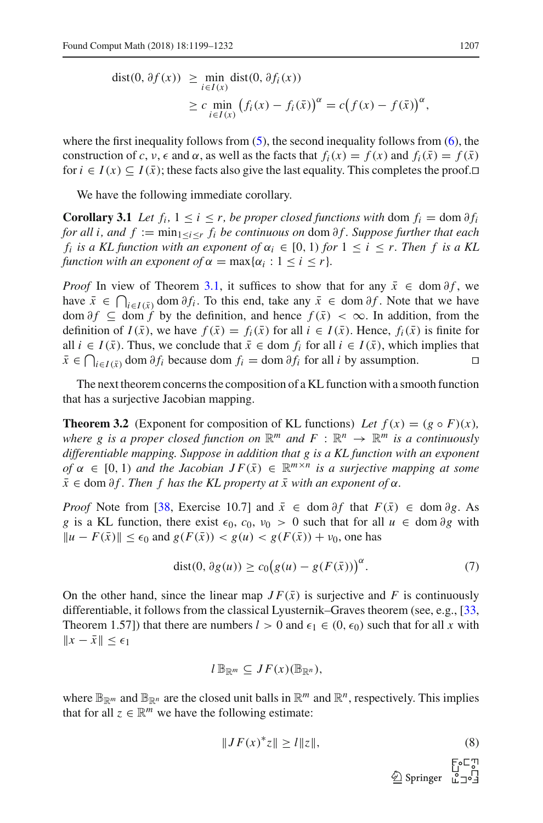$$
\begin{aligned} \text{dist}(0, \partial f(x)) &\geq \min_{i \in I(x)} \text{dist}(0, \partial f_i(x)) \\ &\geq c \min_{i \in I(x)} \left( f_i(x) - f_i(\bar{x}) \right)^{\alpha} = c \big( f(x) - f(\bar{x}) \big)^{\alpha}, \end{aligned}
$$

where the first inequality follows from  $(5)$ , the second inequality follows from  $(6)$ , the construction of *c*,  $v, \epsilon$  and  $\alpha$ , as well as the facts that  $f_i(x) = f(x)$  and  $f_i(\bar{x}) = f(\bar{x})$ for  $i \in I(x) \subseteq I(\bar{x})$ ; these facts also give the last equality. This completes the proof.

<span id="page-8-0"></span>We have the following immediate corollary.

**Corollary 3.1** *Let*  $f_i$ ,  $1 \leq i \leq r$ , *be proper closed functions with* dom  $f_i = \text{dom } \partial f_i$ *for all i, and f* :=  $\min_{1 \leq i \leq r} f_i$  *be continuous on dom ∂f. Suppose further that each f<sub>i</sub>* is a KL function with an exponent of  $\alpha_i \in [0, 1)$  for  $1 \le i \le r$ . Then f is a KL *function with an exponent of*  $\alpha = \max{\{\alpha_i : 1 \le i \le r\}}$ .

*Proof* In view of Theorem [3.1,](#page-7-0) it suffices to show that for any  $\bar{x} \in \text{dom } \partial f$ , we have  $\bar{x}$  ∈  $\bigcap_{i \in I(\bar{x})}$  dom  $\partial f_i$ . To this end, take any  $\bar{x}$  ∈ dom  $\partial f$ . Note that we have dom  $\partial f$  ⊆ dom *f* by the definition, and hence  $f(\bar{x}) < \infty$ . In addition, from the definition of  $I(\bar{x})$ , we have  $f(\bar{x}) = f_i(\bar{x})$  for all  $i \in I(\bar{x})$ . Hence,  $f_i(\bar{x})$  is finite for all *i* ∈ *I*( $\bar{x}$ ). Thus, we conclude that  $\bar{x}$  ∈ dom  $f_i$  for all *i* ∈  $I(\bar{x})$ , which implies that  $\bar{x}$  ∈  $\bigcap_{i \in I(\bar{x})}$  dom  $\partial f_i$  because dom  $f_i$  = dom  $\partial f_i$  for all *i* by assumption.  $\Box$ *x* ∈  $\bigcap_{i \in I(\bar{x})}$  dom  $\partial f_i$  because dom  $f_i$  = dom  $\partial f_i$  for all *i* by assumption.

<span id="page-8-1"></span>The next theorem concerns the composition of a KL function with a smooth function that has a surjective Jacobian mapping.

**Theorem 3.2** (Exponent for composition of KL functions) Let  $f(x) = (g \circ F)(x)$ , *where g is a proper closed function on*  $\mathbb{R}^m$  *and*  $F : \mathbb{R}^n \to \mathbb{R}^m$  *is a continuously differentiable mapping. Suppose in addition that g is a KL function with an exponent of*  $\alpha \in [0, 1)$  *and the Jacobian JF*( $\bar{x}$ )  $\in \mathbb{R}^{m \times n}$  *is a surjective mapping at some*  $\bar{x} \in$  dom  $\partial f$ *. Then f has the KL property at*  $\bar{x}$  with an exponent of  $\alpha$ *.* 

*Proof* Note from [\[38,](#page-32-14) Exercise 10.7] and  $\bar{x} \in \text{dom } \partial f$  that  $F(\bar{x}) \in \text{dom } \partial g$ . As *g* is a KL function, there exist  $\epsilon_0$ ,  $c_0$ ,  $v_0 > 0$  such that for all  $u \in \text{dom } \partial g$  with  $||u - F(\bar{x})||$  <  $\epsilon_0$  and  $g(F(\bar{x})) < g(u) < g(F(\bar{x})) + v_0$ , one has

<span id="page-8-3"></span>
$$
dist(0, \partial g(u)) \ge c_0 (g(u) - g(F(\bar{x})))^{\alpha}.
$$
 (7)

On the other hand, since the linear map  $JF(\bar{x})$  is surjective and F is continuously differentiable, it follows from the classical Lyusternik–Graves theorem (see, e.g., [\[33,](#page-32-15) Theorem 1.57]) that there are numbers  $l > 0$  and  $\epsilon_1 \in (0, \epsilon_0)$  such that for all x with  $||x - \bar{x}|| \leq \epsilon_1$ 

$$
l\,\mathbb{B}_{\mathbb{R}^m}\subseteq JF(x)(\mathbb{B}_{\mathbb{R}^n}),
$$

where  $\mathbb{B}_{\mathbb{R}^m}$  and  $\mathbb{B}_{\mathbb{R}^n}$  are the closed unit balls in  $\mathbb{R}^m$  and  $\mathbb{R}^n$ , respectively. This implies that for all  $z \in \mathbb{R}^m$  we have the following estimate:

<span id="page-8-2"></span>
$$
||JF(x)^*z|| \ge l||z||,\tag{8}
$$

 $\mathcal{L}$  Springer  $\mathcal{L}$ :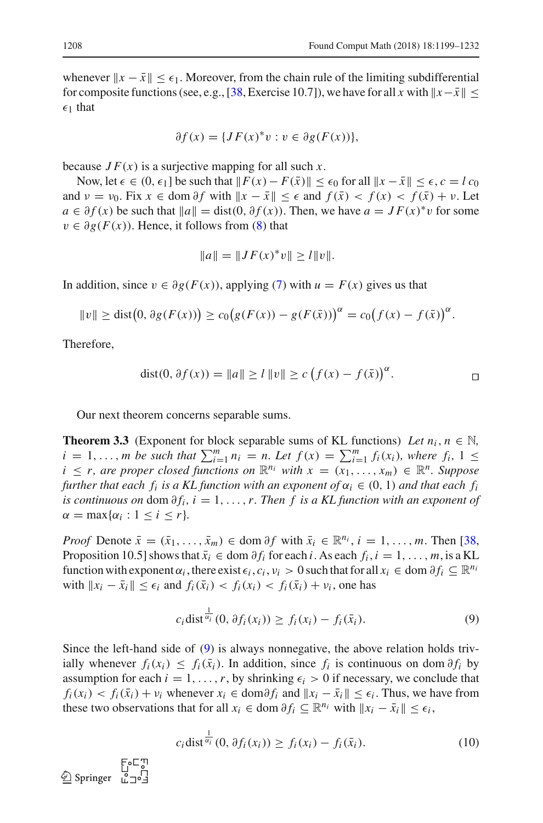whenever  $x - \bar{x}$  ≤  $\epsilon_1$ . Moreover, from the chain rule of the limiting subdifferential for composite functions (see, e.g., [\[38,](#page-32-14) Exercise 10.7]), we have for all *x* with  $||x-\bar{x}|| <$  $\epsilon_1$  that

$$
\partial f(x) = \{JF(x)^*v : v \in \partial g(F(x))\},\
$$

because  $JF(x)$  is a surjective mapping for all such x.

Now, let  $\epsilon \in (0, \epsilon_1]$  be such that  $||F(x) - F(\bar{x})|| \leq \epsilon_0$  for all  $||x - \bar{x}|| \leq \epsilon$ ,  $c = l c_0$ and  $\nu = \nu_0$ . Fix  $x \in \text{dom } \partial f$  with  $||x - \bar{x}|| \leq \epsilon$  and  $f(\bar{x}) < f(x) < f(\bar{x}) + \nu$ . Let *a* ∈  $\partial f(x)$  be such that  $||a|| = \text{dist}(0, \partial f(x))$ . Then, we have  $a = JF(x)^*v$  for some  $v \in \partial g(F(x))$ . Hence, it follows from [\(8\)](#page-8-2) that

$$
||a|| = ||JF(x)^*v|| \ge l||v||.
$$

In addition, since  $v \in \partial g(F(x))$ , applying [\(7\)](#page-8-3) with  $u = F(x)$  gives us that

$$
||v|| \ge \text{dist}(0, \partial g(F(x))) \ge c_0 (g(F(x)) - g(F(\bar{x})))^{\alpha} = c_0 (f(x) - f(\bar{x}))^{\alpha}.
$$

Therefore,

dist(0, 
$$
\partial f(x)) = ||a|| \ge l ||v|| \ge c (f(x) - f(\bar{x}))^{\alpha}
$$
.

<span id="page-9-0"></span>Our next theorem concerns separable sums.

**Theorem 3.3** (Exponent for block separable sums of KL functions) *Let*  $n_i$ ,  $n \in \mathbb{N}$ ,  $i = 1, ..., m$  be such that  $\sum_{i=1}^{m} n_i = n$ . Let  $f(x) = \sum_{i=1}^{m} f_i(x_i)$ , where  $f_i$ ,  $1 \le$  $i \leq r$ , are proper closed functions on  $\mathbb{R}^{n_i}$  with  $x = (x_1, \ldots, x_m) \in \mathbb{R}^n$ . Suppose *further that each f<sub>i</sub> is a KL function with an exponent of*  $\alpha_i \in (0, 1)$  *and that each f<sub>i</sub> is continuous on* dom  $\partial f_i$ ,  $i = 1, \ldots, r$ . Then f is a KL function with an exponent of  $\alpha = \max{\lbrace \alpha_i : 1 \leq i \leq r \rbrace}$ .

*Proof* Denote  $\bar{x} = (\bar{x}_1, \ldots, \bar{x}_m) \in \text{dom } \partial f$  with  $\bar{x}_i \in \mathbb{R}^{n_i}, i = 1, \ldots, m$ . Then [\[38,](#page-32-14) Proposition 10.5] shows that  $\bar{x}_i \in \text{dom } \partial f_i$  for each *i*. As each  $f_i, i = 1, \ldots, m$ , is a KL function with exponent  $\alpha_i$ , there exist  $\epsilon_i$ ,  $c_i$ ,  $\nu_i > 0$  such that for all  $x_i \in \text{dom } \partial f_i \subseteq \mathbb{R}^{n_i}$ *with*  $||x_i - \bar{x}_i||$  ≤  $\epsilon_i$  and  $f_i(\bar{x}_i) < f_i(x_i) < f_i(\bar{x}_i) + v_i$ , one has

<span id="page-9-1"></span>
$$
c_i \text{dist}^{\frac{1}{\alpha_i}}(0, \partial f_i(x_i)) \ge f_i(x_i) - f_i(\bar{x}_i). \tag{9}
$$

Since the left-hand side of [\(9\)](#page-9-1) is always nonnegative, the above relation holds trivially whenever  $f_i(x_i) \leq f_i(\bar{x}_i)$ . In addition, since  $f_i$  is continuous on dom  $\partial f_i$  by assumption for each  $i = 1, \ldots, r$ , by shrinking  $\epsilon_i > 0$  if necessary, we conclude that  $f_i(x_i) < f_i(\bar{x}_i) + v_i$  whenever  $x_i \in \text{dom}\partial f_i$  and  $||x_i - \bar{x}_i|| \leq \epsilon_i$ . Thus, we have from these two observations that for all  $x_i \in \text{dom } \partial f_i \subseteq \mathbb{R}^{n_i}$  with  $||x_i - \bar{x}_i|| \leq \epsilon_i$ ,

<span id="page-9-2"></span>
$$
c_i \operatorname{dist}^{\frac{1}{\alpha_i}}(0, \partial f_i(x_i)) \ge f_i(x_i) - f_i(\bar{x}_i). \tag{10}
$$

 $\circled{2}$  Springer  $\bar{L}$   $\bar{1}$  o'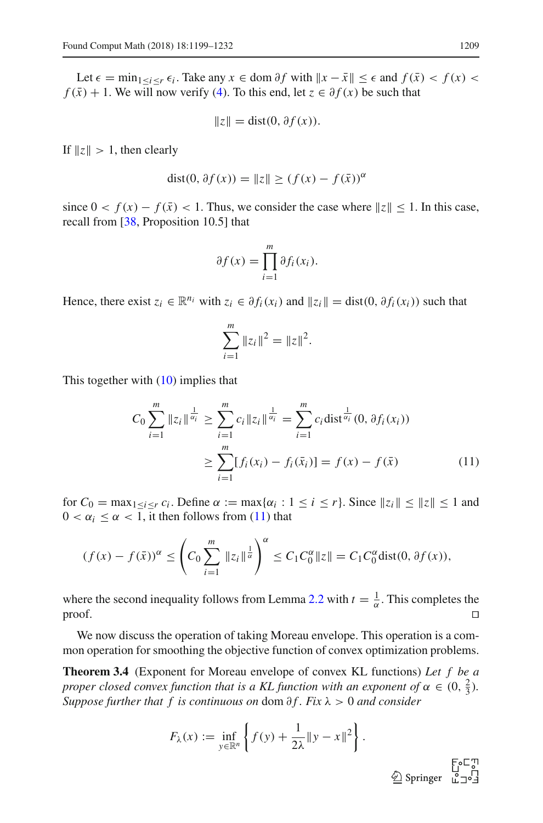Let  $\epsilon$  = min<sub>1≤*i*≤*r*</sub>  $\epsilon$ *i*. Take any *x* ∈ dom ∂*f* with  $||x - \bar{x}|| \leq \epsilon$  and  $f(\bar{x}) < f(x)$  <  $f(\bar{x}) + 1$ . We will now verify [\(4\)](#page-5-3). To this end, let  $\bar{z} \in \partial f(x)$  be such that

$$
||z|| = \text{dist}(0, \partial f(x)).
$$

If  $||z|| > 1$ , then clearly

dist(0, 
$$
\partial f(x)
$$
) =  $||z|| \ge (f(x) - f(\bar{x}))^{\alpha}$ 

since  $0 < f(x) - f(\bar{x}) < 1$ . Thus, we consider the case where  $||z|| \le 1$ . In this case, recall from [\[38](#page-32-14), Proposition 10.5] that

$$
\partial f(x) = \prod_{i=1}^m \partial f_i(x_i).
$$

Hence, there exist  $z_i \in \mathbb{R}^{n_i}$  with  $z_i \in \partial f_i(x_i)$  and  $||z_i|| = \text{dist}(0, \partial f_i(x_i))$  such that

$$
\sum_{i=1}^{m} \|z_i\|^2 = \|z\|^2.
$$

This together with [\(10\)](#page-9-2) implies that

<span id="page-10-1"></span>
$$
C_0 \sum_{i=1}^{m} \|z_i\|^{\frac{1}{\alpha_i}} \ge \sum_{i=1}^{m} c_i \|z_i\|^{\frac{1}{\alpha_i}} = \sum_{i=1}^{m} c_i \text{dist}^{\frac{1}{\alpha_i}}(0, \partial f_i(x_i))
$$
  

$$
\ge \sum_{i=1}^{m} [f_i(x_i) - f_i(\bar{x}_i)] = f(x) - f(\bar{x})
$$
(11)

for  $C_0 = \max_{1 \le i \le r} c_i$ . Define  $\alpha := \max{\{\alpha_i : 1 \le i \le r\}}$ . Since  $||z_i|| \le ||z|| \le 1$  and  $0 < \alpha_i \leq \alpha < 1$ , it then follows from [\(11\)](#page-10-1) that

$$
(f(x) - f(\bar{x}))^{\alpha} \le \left( C_0 \sum_{i=1}^{m} \|z_i\|^{\frac{1}{\alpha}} \right)^{\alpha} \le C_1 C_0^{\alpha} \|z\| = C_1 C_0^{\alpha} \text{dist}(0, \partial f(x)),
$$

where the second inequality follows from Lemma [2.2](#page-6-1) with  $t = \frac{1}{\alpha}$ . This completes the  $\Box$ 

<span id="page-10-0"></span>We now discuss the operation of taking Moreau envelope. This operation is a common operation for smoothing the objective function of convex optimization problems.

**Theorem 3.4** (Exponent for Moreau envelope of convex KL functions) *Let f be a proper closed convex function that is a KL function with an exponent of*  $\alpha \in (0, \frac{2}{3})$ *. Suppose further that f is continuous on dom ∂f. Fix*  $λ$  > 0 *and consider* 

$$
F_{\lambda}(x) := \inf_{y \in \mathbb{R}^n} \left\{ f(y) + \frac{1}{2\lambda} \|y - x\|^2 \right\}.
$$
  

$$
\underline{\textcircled{2}} \text{ Springer}
$$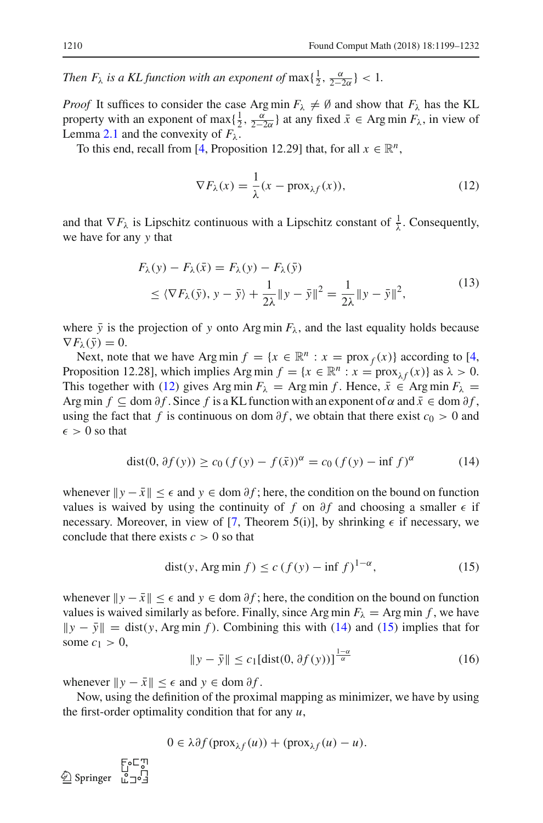*Then*  $F_{\lambda}$  *is a KL function with an exponent of*  $\max\{\frac{1}{2}, \frac{\alpha}{2-2\alpha}\}$  < 1.

*Proof* It suffices to consider the case Arg min  $F_{\lambda} \neq \emptyset$  and show that  $F_{\lambda}$  has the KL property with an exponent of max $\{\frac{1}{2}, \frac{\alpha}{2-2\alpha}\}$  at any fixed  $\bar{x} \in \text{Arg min } F_\lambda$ , in view of Lemma [2.1](#page-6-2) and the convexity of  $F_\lambda$ .

To this end, recall from [\[4,](#page-31-7) Proposition 12.29] that, for all  $x \in \mathbb{R}^n$ ,

<span id="page-11-0"></span>
$$
\nabla F_{\lambda}(x) = \frac{1}{\lambda}(x - \text{prox}_{\lambda f}(x)),
$$
\n(12)

and that  $\nabla F_\lambda$  is Lipschitz continuous with a Lipschitz constant of  $\frac{1}{\lambda}$ . Consequently, we have for any *y* that

<span id="page-11-4"></span>
$$
F_{\lambda}(y) - F_{\lambda}(\bar{x}) = F_{\lambda}(y) - F_{\lambda}(\bar{y})
$$
  
\n
$$
\leq \langle \nabla F_{\lambda}(\bar{y}), y - \bar{y} \rangle + \frac{1}{2\lambda} \|y - \bar{y}\|^2 = \frac{1}{2\lambda} \|y - \bar{y}\|^2,
$$
\n(13)

where  $\bar{y}$  is the projection of *y* onto Arg min  $F_{\lambda}$ , and the last equality holds because  $\nabla F_\lambda(\bar{y}) = 0.$ 

Next, note that we have Arg min  $f = \{x \in \mathbb{R}^n : x = \text{prox}_f(x)\}\$  according to [\[4,](#page-31-7) Proposition 12.28], which implies Arg min  $f = \{x \in \mathbb{R}^n : x = \text{prox}_{\lambda f}(x)\}\$  as  $\lambda > 0$ . This together with [\(12\)](#page-11-0) gives Arg min  $F_{\lambda}$  = Arg min *f*. Hence,  $\bar{x} \in \text{Arg min } F_{\lambda}$  = Arg min  $f \subseteq$  dom  $\partial f$ . Since  $f$  is a KL function with an exponent of  $\alpha$  and  $\bar{x} \in$  dom  $\partial f$ , using the fact that *f* is continuous on dom  $\partial f$ , we obtain that there exist  $c_0 > 0$  and  $\epsilon > 0$  so that

<span id="page-11-1"></span>
$$
dist(0, \partial f(y)) \ge c_0 (f(y) - f(\bar{x}))^{\alpha} = c_0 (f(y) - \inf f)^{\alpha}
$$
 (14)

whenever  $\|y - \bar{x}\| \leq \epsilon$  and  $y \in \text{dom } \partial f$ ; here, the condition on the bound on function values is waived by using the continuity of  $f$  on  $\partial f$  and choosing a smaller  $\epsilon$  if necessary. Moreover, in view of [\[7](#page-31-4), Theorem 5(i)], by shrinking  $\epsilon$  if necessary, we conclude that there exists  $c > 0$  so that

<span id="page-11-2"></span>
$$
dist(y, Arg\min f) \le c\left(f(y) - \inf f\right)^{1-\alpha},\tag{15}
$$

whenever  $\|y - \bar{x}\| \leq \epsilon$  and  $y \in \text{dom } \partial f$ ; here, the condition on the bound on function values is waived similarly as before. Finally, since Arg min  $F_{\lambda} =$  Arg min *f*, we have  $\|y - \bar{y}\| =$  dist(*y*, Arg min *f*). Combining this with [\(14\)](#page-11-1) and [\(15\)](#page-11-2) implies that for some  $c_1 > 0$ ,  $1-\alpha$ 

<span id="page-11-3"></span>
$$
\|y - \bar{y}\| \le c_1 \left[ \text{dist}(0, \partial f(y)) \right]^{\frac{1-\alpha}{\alpha}} \tag{16}
$$

whenever  $||y - \bar{x}|| \leq \epsilon$  and  $y \in \text{dom } \partial f$ .

Now, using the definition of the proximal mapping as minimizer, we have by using the first-order optimality condition that for any *u*,

$$
0 \in \lambda \partial f(\text{prox}_{\lambda f}(u)) + (\text{prox}_{\lambda f}(u) - u).
$$

 $\circled{2}$  Springer  $\circled{1}$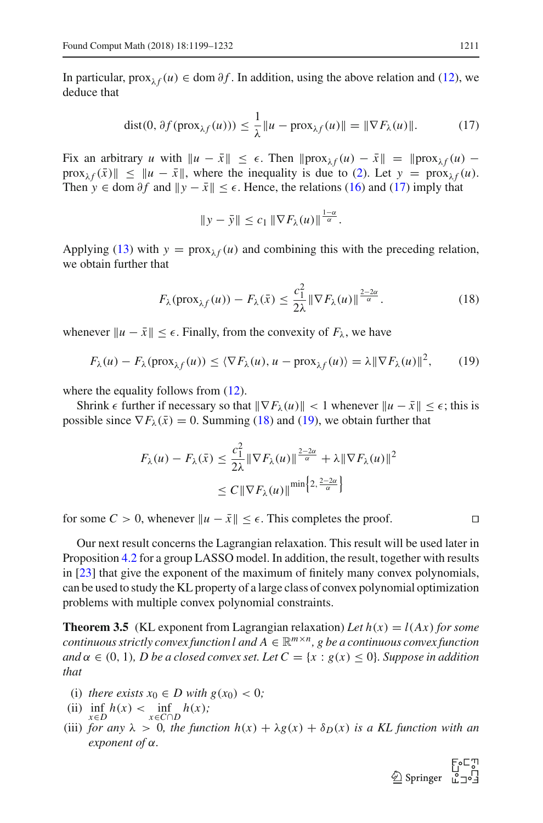In particular, prox<sub> $\lambda f(u) \in \text{dom } \partial f$ . In addition, using the above relation and [\(12\)](#page-11-0), we</sub> deduce that

<span id="page-12-1"></span>
$$
\text{dist}(0, \partial f(\text{prox}_{\lambda f}(u))) \le \frac{1}{\lambda} \|u - \text{prox}_{\lambda f}(u)\| = \|\nabla F_{\lambda}(u)\|.
$$
 (17)

Fix an arbitrary *u* with  $||u - \bar{x}|| \leq \epsilon$ . Then  $||prox_{\lambda f}(u) - \bar{x}|| = ||prox_{\lambda f}(u)$  $prox_{\lambda f}(\bar{x})$   $\leq$   $\|u - \bar{x}\|$ , where the inequality is due to [\(2\)](#page-4-4). Let  $y = prox_{\lambda f}(u)$ . Then *y*  $\in$  dom  $\partial f$  and  $||y - \bar{x}|| \leq \epsilon$ . Hence, the relations [\(16\)](#page-11-3) and [\(17\)](#page-12-1) imply that

$$
\|y-\bar{y}\| \leq c_1 \|\nabla F_\lambda(u)\|^{\frac{1-\alpha}{\alpha}}.
$$

Applying [\(13\)](#page-11-4) with  $y = prox_{\lambda f}(u)$  and combining this with the preceding relation, we obtain further that

<span id="page-12-2"></span>
$$
F_{\lambda}(\text{prox}_{\lambda f}(u)) - F_{\lambda}(\bar{x}) \le \frac{c_1^2}{2\lambda} \|\nabla F_{\lambda}(u)\|^{2-2\alpha \over \alpha}.
$$
 (18)

whenever  $||u - \bar{x}|| \leq \epsilon$ . Finally, from the convexity of  $F_{\lambda}$ , we have

<span id="page-12-3"></span>
$$
F_{\lambda}(u) - F_{\lambda}(\text{prox}_{\lambda f}(u)) \le \langle \nabla F_{\lambda}(u), u - \text{prox}_{\lambda f}(u) \rangle = \lambda || \nabla F_{\lambda}(u) ||^2,
$$
 (19)

where the equality follows from  $(12)$ .

Shrink  $\epsilon$  further if necessary so that  $\|\nabla F_\lambda(u)\| < 1$  whenever  $\|u - \bar{x}\| \leq \epsilon$ ; this is possible since  $\nabla F_\lambda(\bar{x}) = 0$ . Summing [\(18\)](#page-12-2) and [\(19\)](#page-12-3), we obtain further that

$$
F_{\lambda}(u) - F_{\lambda}(\bar{x}) \le \frac{c_1^2}{2\lambda} \|\nabla F_{\lambda}(u)\|^{\frac{2-2\alpha}{\alpha}} + \lambda \|\nabla F_{\lambda}(u)\|^2
$$
  

$$
\le C \|\nabla F_{\lambda}(u)\|^{\min\left\{2, \frac{2-2\alpha}{\alpha}\right\}}
$$

for some  $C > 0$ , whenever  $||u - \bar{x}|| \leq \epsilon$ . This completes the proof. □

Our next result concerns the Lagrangian relaxation. This result will be used later in Proposition [4.2](#page-21-1) for a group LASSO model. In addition, the result, together with results in [\[23](#page-32-7)] that give the exponent of the maximum of finitely many convex polynomials, can be used to study the KL property of a large class of convex polynomial optimization problems with multiple convex polynomial constraints.

<span id="page-12-0"></span>**Theorem 3.5** (KL exponent from Lagrangian relaxation) Let  $h(x) = l(Ax)$  for some *continuous strictly convex function l and*  $A \in \mathbb{R}^{m \times n}$ , g be a continuous convex function *and*  $\alpha \in (0, 1)$ *, D be a closed convex set. Let*  $C = \{x : g(x) \le 0\}$ *. Suppose in addition that*

- (i) *there exists*  $x_0 \in D$  *with*  $g(x_0) < 0$ ;
- (ii)  $\inf_{x \in D} h(x) < \inf_{x \in C \cap D} h(x)$ ;
- (iii) *for any*  $\lambda > 0$ *, the function*  $h(x) + \lambda g(x) + \delta_D(x)$  *is a KL function with an exponent of* α*.*

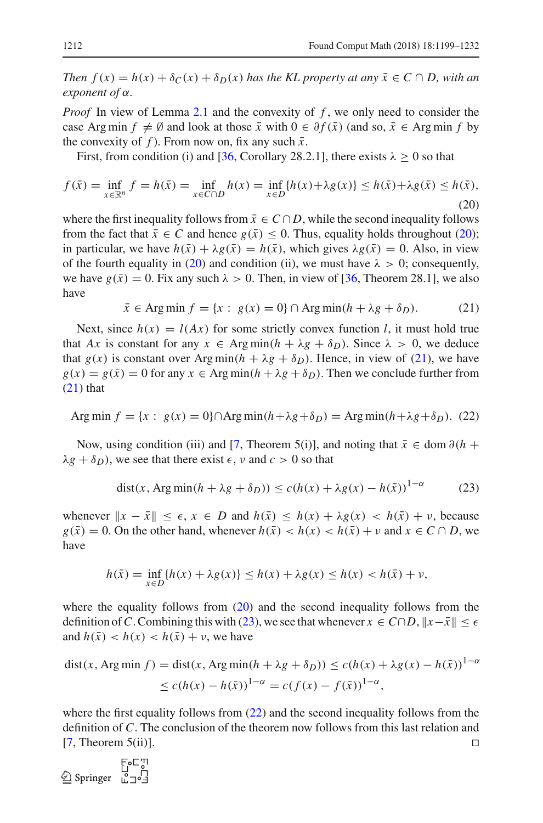*Then*  $f(x) = h(x) + \delta_C(x) + \delta_D(x)$  *has the KL property at any*  $\bar{x} \in C \cap D$ *, with an exponent of* α*.*

*Proof* In view of Lemma [2.1](#page-6-2) and the convexity of f, we only need to consider the case Arg min  $f \neq \emptyset$  and look at those  $\bar{x}$  with  $0 \in \partial f(\bar{x})$  (and so,  $\bar{x} \in \text{Arg min } f$  by the convexity of *f*). From now on, fix any such  $\bar{x}$ .

First, from condition (i) and [\[36](#page-32-16), Corollary 28.2.1], there exists  $\lambda > 0$  so that

<span id="page-13-0"></span>
$$
f(\bar{x}) = \inf_{x \in \mathbb{R}^n} f = h(\bar{x}) = \inf_{x \in C \cap D} h(x) = \inf_{x \in D} \{ h(x) + \lambda g(x) \} \le h(\bar{x}) + \lambda g(\bar{x}) \le h(\bar{x}),
$$
\n(20)

where the first inequality follows from  $\bar{x} \in C \cap D$ , while the second inequality follows from the fact that  $\bar{x} \in C$  and hence  $g(\bar{x}) \leq 0$ . Thus, equality holds throughout [\(20\)](#page-13-0); in particular, we have  $h(\bar{x}) + \lambda g(\bar{x}) = h(\bar{x})$ , which gives  $\lambda g(\bar{x}) = 0$ . Also, in view of the fourth equality in [\(20\)](#page-13-0) and condition (ii), we must have  $\lambda > 0$ ; consequently, we have  $g(\bar{x}) = 0$ . Fix any such  $\lambda > 0$ . Then, in view of [\[36](#page-32-16), Theorem 28.1], we also have

<span id="page-13-1"></span>
$$
\bar{x} \in \text{Arg min } f = \{x : g(x) = 0\} \cap \text{Arg min}(h + \lambda g + \delta_D). \tag{21}
$$

Next, since  $h(x) = l(Ax)$  for some strictly convex function *l*, it must hold true that *Ax* is constant for any  $x \in \text{Arg min}(h + \lambda g + \delta h)$ . Since  $\lambda > 0$ , we deduce that  $g(x)$  is constant over Arg min( $h + \lambda g + \delta_D$ ). Hence, in view of [\(21\)](#page-13-1), we have  $g(x) = g(\bar{x}) = 0$  for any  $x \in \text{Arg min}(h + \lambda g + \delta p)$ . Then we conclude further from  $(21)$  that

<span id="page-13-3"></span>Arg min 
$$
f = {x : g(x) = 0}
$$
  $\cap$  Arg min $(h + \lambda g + \delta_D) =$  Arg min $(h + \lambda g + \delta_D)$ . (22)

Now, using condition (iii) and [\[7](#page-31-4), Theorem 5(i)], and noting that  $\bar{x} \in \text{dom } \partial (h +$  $\lambda g + \delta_D$ , we see that there exist  $\epsilon$ , v and  $c > 0$  so that

<span id="page-13-2"></span>
$$
dist(x, Arg\min(h + \lambda g + \delta_D)) \le c(h(x) + \lambda g(x) - h(\bar{x}))^{1-\alpha}
$$
 (23)

whenever  $\|x - \bar{x}\| \leq \epsilon$ ,  $x \in D$  and  $h(\bar{x}) \leq h(x) + \lambda g(x) < h(\bar{x}) + v$ , because  $g(\bar{x}) = 0$ . On the other hand, whenever  $h(\bar{x}) < h(x) < h(\bar{x}) + v$  and  $x \in C \cap D$ , we have

$$
h(\bar{x}) = \inf_{x \in D} \{ h(x) + \lambda g(x) \} \le h(x) + \lambda g(x) \le h(x) < h(\bar{x}) + \nu,
$$

where the equality follows from  $(20)$  and the second inequality follows from the definition of C. Combining this with [\(23\)](#page-13-2), we see that whenever  $x \in C \cap D$ ,  $||x - \bar{x}|| < \epsilon$ and  $h(\bar{x}) < h(x) < h(\bar{x}) + v$ , we have

$$
dist(x, Arg min f) = dist(x, Arg min(h + \lambda g + \delta_D)) \le c(h(x) + \lambda g(x) - h(\bar{x}))^{1-\alpha}
$$
  

$$
\le c(h(x) - h(\bar{x}))^{1-\alpha} = c(f(x) - f(\bar{x}))^{1-\alpha},
$$

where the first equality follows from  $(22)$  and the second inequality follows from the definition of *C*. The conclusion of the theorem now follows from this last relation and [\[7](#page-31-4), Theorem 5(ii)].  $\square$ 

$$
\textcircled{\small\textbf{Springer}}\ \begin{array}{c}\quad \text{F}_{\circ}\text{C}^{\small\textbf{T}}\\ \text{C}\\\text{Springer}\ \begin{array}{c}\quad \text{C}\\\text{C}\\\text{C}\\\text{D}\end{array}\end{array}
$$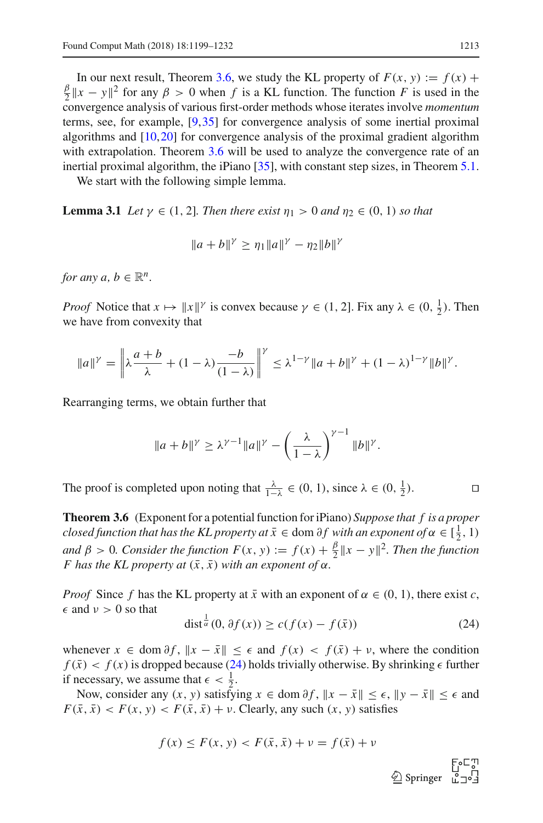In our next result, Theorem [3.6,](#page-14-0) we study the KL property of  $F(x, y) := f(x) +$  $\frac{\beta}{2} \|x - y\|^2$  for any  $\beta > 0$  when *f* is a KL function. The function *F* is used in the convergence analysis of various first-order methods whose iterates involve *momentum* terms, see, for example, [\[9](#page-31-8),[35\]](#page-32-4) for convergence analysis of some inertial proximal algorithms and [\[10](#page-31-2)[,20](#page-32-1)] for convergence analysis of the proximal gradient algorithm with extrapolation. Theorem [3.6](#page-14-0) will be used to analyze the convergence rate of an inertial proximal algorithm, the iPiano [\[35\]](#page-32-4), with constant step sizes, in Theorem [5.1.](#page-27-0)

<span id="page-14-2"></span>We start with the following simple lemma.

**Lemma 3.1** *Let*  $\gamma \in (1, 2]$ *. Then there exist*  $\eta_1 > 0$  *and*  $\eta_2 \in (0, 1)$  *so that* 

$$
||a+b||^{\gamma} \ge \eta_1 ||a||^{\gamma} - \eta_2 ||b||^{\gamma}
$$

*for any a, b*  $\in \mathbb{R}^n$ .

*Proof* Notice that  $x \mapsto ||x||^{\gamma}$  is convex because  $\gamma \in (1, 2]$ . Fix any  $\lambda \in (0, \frac{1}{2})$ . Then we have from convexity that

$$
||a||^{\gamma} = \left\| \lambda \frac{a+b}{\lambda} + (1-\lambda) \frac{-b}{(1-\lambda)} \right\|^{\gamma} \leq \lambda^{1-\gamma} ||a+b||^{\gamma} + (1-\lambda)^{1-\gamma} ||b||^{\gamma}.
$$

Rearranging terms, we obtain further that

$$
||a+b||^{\gamma} \geq \lambda^{\gamma-1}||a||^{\gamma} - \left(\frac{\lambda}{1-\lambda}\right)^{\gamma-1}||b||^{\gamma}.
$$

The proof is completed upon noting that  $\frac{\lambda}{1-\lambda} \in (0, 1)$ , since  $\lambda \in (0, \frac{1}{2})$ .

<span id="page-14-0"></span>**Theorem 3.6** (Exponent for a potential function for iPiano) *Suppose that f is a proper closed function that has the KL property at*  $\bar{x} \in$  dom  $\partial f$  *with an exponent of*  $\alpha \in [\frac{1}{2}, 1)$ *and*  $\beta > 0$ *. Consider the function*  $F(x, y) := f(x) + \frac{\beta}{2} ||x - y||^2$ *. Then the function F* has the KL property at  $(\bar{x}, \bar{x})$  with an exponent of  $\alpha$ .

*Proof* Since *f* has the KL property at  $\bar{x}$  with an exponent of  $\alpha \in (0, 1)$ , there exist *c*,  $\epsilon$  and  $\nu > 0$  so that

<span id="page-14-1"></span>
$$
\operatorname{dist}^{\frac{1}{\alpha}}(0, \partial f(x)) \ge c(f(x) - f(\bar{x})) \tag{24}
$$

whenever  $x \in \text{dom } \partial f$ ,  $\|x - \bar{x}\| \leq \epsilon$  and  $f(x) < f(\bar{x}) + v$ , where the condition  $f(\bar{x}) < f(x)$  is dropped because [\(24\)](#page-14-1) holds trivially otherwise. By shrinking  $\epsilon$  further if necessary, we assume that  $\epsilon < \frac{1}{2}$ .

Now, consider any  $(x, y)$  satisfying  $x \in \text{dom } \partial f$ ,  $||x - \bar{x}|| \leq \epsilon$ ,  $||y - \bar{x}|| \leq \epsilon$  and  $F(\bar{x}, \bar{x}) < F(x, y) < F(\bar{x}, \bar{x}) + v$ . Clearly, any such  $(x, y)$  satisfies

$$
f(x) \le F(x, y) < F(\bar{x}, \bar{x}) + \nu = f(\bar{x}) + \nu
$$

⊟<br>10 Springer<br>10 است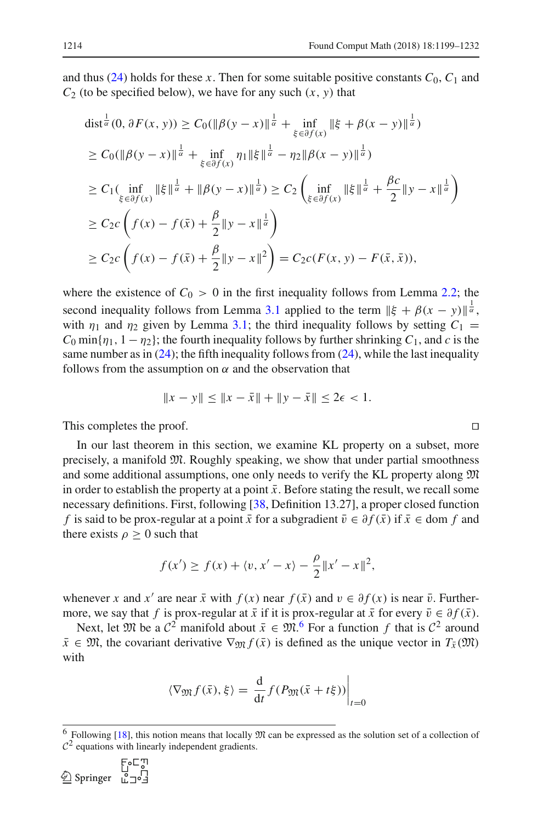and thus [\(24\)](#page-14-1) holds for these *x*. Then for some suitable positive constants  $C_0$ ,  $C_1$  and  $C_2$  (to be specified below), we have for any such  $(x, y)$  that

dist<sup>$$
\frac{1}{\alpha}
$$</sup>(0,  $\partial F(x, y)$ )  $\geq C_0(||\beta(y - x)||^{\frac{1}{\alpha}} + \inf_{\xi \in \partial f(x)} ||\xi + \beta(x - y)||^{\frac{1}{\alpha}})$   
\n $\geq C_0(||\beta(y - x)||^{\frac{1}{\alpha}} + \inf_{\xi \in \partial f(x)} \eta_1 ||\xi||^{\frac{1}{\alpha}} - \eta_2 ||\beta(x - y)||^{\frac{1}{\alpha}})$   
\n $\geq C_1(\inf_{\xi \in \partial f(x)} ||\xi||^{\frac{1}{\alpha}} + ||\beta(y - x)||^{\frac{1}{\alpha}}) \geq C_2(\inf_{\xi \in \partial f(x)} ||\xi||^{\frac{1}{\alpha}} + \frac{\beta c}{2} ||y - x||^{\frac{1}{\alpha}})$   
\n $\geq C_2 c \left( f(x) - f(\bar{x}) + \frac{\beta}{2} ||y - x||^{\frac{1}{\alpha}} \right)$   
\n $\geq C_2 c \left( f(x) - f(\bar{x}) + \frac{\beta}{2} ||y - x||^2 \right) = C_2 c(F(x, y) - F(\bar{x}, \bar{x})),$ 

where the existence of  $C_0 > 0$  in the first inequality follows from Lemma [2.2;](#page-6-1) the second inequality follows from Lemma [3.1](#page-14-2) applied to the term  $\|\xi + \beta(x - y)\|^{\frac{1}{\alpha}}$ , with  $\eta_1$  and  $\eta_2$  given by Lemma [3.1;](#page-14-2) the third inequality follows by setting  $C_1$  =  $C_0$  min{ $\eta_1$ ,  $1 - \eta_2$ }; the fourth inequality follows by further shrinking  $C_1$ , and *c* is the same number as in  $(24)$ ; the fifth inequality follows from  $(24)$ , while the last inequality follows from the assumption on  $\alpha$  and the observation that

$$
||x - y|| \le ||x - \bar{x}|| + ||y - \bar{x}|| \le 2\epsilon < 1.
$$

This completes the proof.

In our last theorem in this section, we examine KL property on a subset, more precisely, a manifold M. Roughly speaking, we show that under partial smoothness and some additional assumptions, one only needs to verify the KL property along M in order to establish the property at a point  $\bar{x}$ . Before stating the result, we recall some necessary definitions. First, following [\[38](#page-32-14), Definition 13.27], a proper closed function *f* is said to be prox-regular at a point  $\bar{x}$  for a subgradient  $\bar{v} \in \partial f(\bar{x})$  if  $\bar{x} \in$  dom *f* and there exists  $\rho \geq 0$  such that

$$
f(x') \ge f(x) + \langle v, x' - x \rangle - \frac{\rho}{2} ||x' - x||^2
$$

whenever *x* and *x'* are near  $\bar{x}$  with  $f(x)$  near  $f(\bar{x})$  and  $v \in \partial f(x)$  is near  $\bar{v}$ . Furthermore, we say that *f* is prox-regular at  $\bar{x}$  if it is prox-regular at  $\bar{x}$  for every  $\bar{v} \in \partial f(\bar{x})$ .

Next, let  $\mathfrak{M}$  be a  $\mathcal{C}^2$  manifold about  $\bar{x} \in \mathfrak{M}$ . For a function  $f$  that is  $\mathcal{C}^2$  around  $\bar{x} \in \mathfrak{M}$ , the covariant derivative  $\nabla_{\mathfrak{M}} f(\bar{x})$  is defined as the unique vector in  $T_{\bar{x}}(\mathfrak{M})$ with

$$
\langle \nabla_{\mathfrak{M}} f(\bar{x}), \xi \rangle = \left. \frac{\mathrm{d}}{\mathrm{d}t} f(P_{\mathfrak{M}}(\bar{x} + t\xi)) \right|_{t=0}
$$

$$
\text{Springer} \begin{array}{c} \mathbb{F}_0 \sqsubset \mathbb{T} \\ \square \\ \square \\ \square \end{array}
$$

<span id="page-15-0"></span><sup>&</sup>lt;sup>6</sup> Following [\[18\]](#page-32-18), this notion means that locally  $\mathfrak{M}$  can be expressed as the solution set of a collection of  $C<sup>2</sup>$  equations with linearly independent gradients.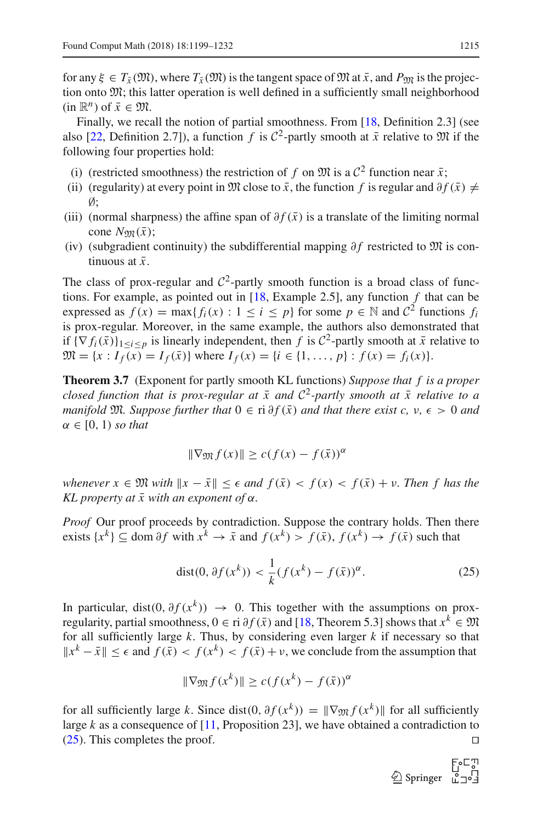for any  $\xi \in T_{\bar{x}}(\mathfrak{M})$ , where  $T_{\bar{x}}(\mathfrak{M})$  is the tangent space of  $\mathfrak{M}$  at  $\bar{x}$ , and  $P_{\mathfrak{M}}$  is the projection onto M; this latter operation is well defined in a sufficiently small neighborhood  $(in \mathbb{R}^n)$  of  $\bar{x} \in \mathfrak{M}$ .

Finally, we recall the notion of partial smoothness. From [\[18](#page-32-18), Definition 2.3] (see also [\[22](#page-32-19), Definition 2.7]), a function *f* is  $C^2$ -partly smooth at  $\bar{x}$  relative to  $\mathfrak{M}$  if the following four properties hold:

- (i) (restricted smoothness) the restriction of *f* on  $\mathfrak{M}$  is a  $\mathcal{C}^2$  function near  $\bar{x}$ ;
- (ii) (regularity) at every point in  $\mathfrak{M}$  close to  $\bar{x}$ , the function f is regular and  $\partial f(\bar{x}) \neq$  $\emptyset$ :
- (iii) (normal sharpness) the affine span of  $\partial f(\bar{x})$  is a translate of the limiting normal cone  $N_{\text{nm}}(\bar{x})$ ;
- (iv) (subgradient continuity) the subdifferential mapping ∂ *f* restricted to M is continuous at  $\bar{x}$ .

The class of prox-regular and  $C^2$ -partly smooth function is a broad class of functions. For example, as pointed out in [\[18](#page-32-18), Example 2.5], any function *f* that can be expressed as  $f(x) = \max\{f_i(x) : 1 \le i \le p\}$  for some  $p \in \mathbb{N}$  and  $C^2$  functions  $f_i$ is prox-regular. Moreover, in the same example, the authors also demonstrated that if  $\{\nabla f_i(\bar{x})\}_{1 \leq i \leq p}$  is linearly independent, then f is  $C^2$ -partly smooth at  $\bar{x}$  relative to  $\mathfrak{M} = \{x : I_f(x) = I_f(\bar{x})\}$  where  $I_f(x) = \{i \in \{1, ..., p\} : f(x) = f_i(x)\}.$ 

<span id="page-16-0"></span>**Theorem 3.7** (Exponent for partly smooth KL functions) *Suppose that f is a proper closed function that is prox-regular at*  $\bar{x}$  *and*  $C^2$ -partly smooth at  $\bar{x}$  relative to a *manifold* M. Suppose further that  $0 \in \text{ri } \partial f(\bar{x})$  and that there exist c, v,  $\epsilon > 0$  and  $\alpha \in [0, 1)$  *so that* 

$$
\|\nabla_{\mathfrak{M}}f(x)\| \ge c(f(x) - f(\bar{x}))^{\alpha}
$$

*whenever*  $x \in \mathfrak{M}$  *with*  $||x - \bar{x}|| \leq \epsilon$  *and*  $f(\bar{x}) < f(x) < f(\bar{x}) + \nu$ . Then f has the *KL property at*  $\bar{x}$  *with an exponent of*  $\alpha$ *.* 

*Proof* Our proof proceeds by contradiction. Suppose the contrary holds. Then there exists  $\{x^k\}$  ⊆ dom ∂*f* with  $x^k$  →  $\bar{x}$  and  $f(x^k) > f(\bar{x})$ ,  $f(x^k) \rightarrow f(\bar{x})$  such that

<span id="page-16-1"></span>
$$
dist(0, \partial f(x^k)) < \frac{1}{k} (f(x^k) - f(\bar{x}))^{\alpha}.\tag{25}
$$

In particular, dist(0,  $\partial f(x^k)$ )  $\rightarrow$  0. This together with the assumptions on proxregularity, partial smoothness,  $0 \in \text{ri } \partial f(\bar{x})$  and [\[18](#page-32-18), Theorem 5.3] shows that  $x^k \in \mathfrak{M}$ for all sufficiently large *k*. Thus, by considering even larger *k* if necessary so that  $||x^k - \bar{x}|| \leq \epsilon$  and  $f(\bar{x}) < f(x^k) < f(\bar{x}) + \nu$ , we conclude from the assumption that

$$
\|\nabla_{\mathfrak{M}} f(x^k)\| \ge c (f(x^k) - f(\bar{x}))^{\alpha}
$$

for all sufficiently large *k*. Since dist(0,  $\partial f(x^k) = ||\nabla_{\mathfrak{M}} f(x^k)||$  for all sufficiently large *k* as a consequence of [\[11](#page-31-9), Proposition 23], we have obtained a contradiction to  $(25)$ . This completes the proof.

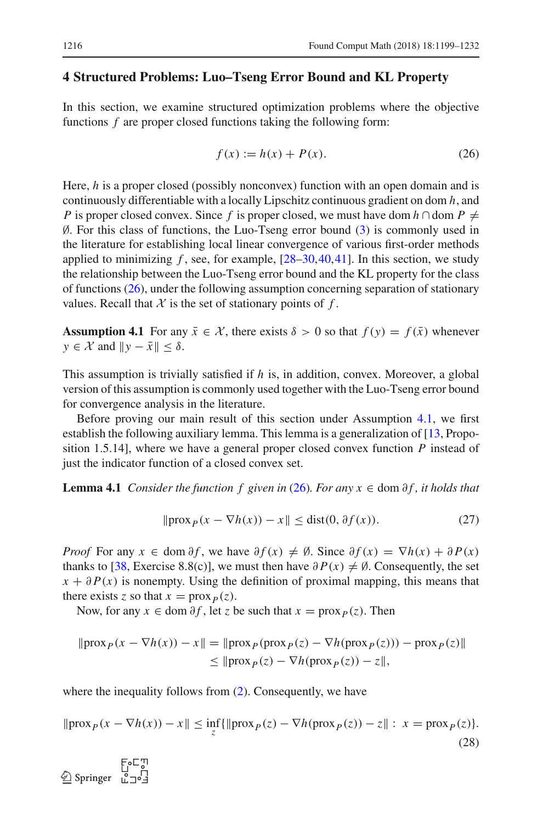# <span id="page-17-0"></span>**4 Structured Problems: Luo–Tseng Error Bound and KL Property**

In this section, we examine structured optimization problems where the objective functions *f* are proper closed functions taking the following form:

<span id="page-17-1"></span>
$$
f(x) := h(x) + P(x).
$$
 (26)

Here, *h* is a proper closed (possibly nonconvex) function with an open domain and is continuously differentiable with a locally Lipschitz continuous gradient on dom *h*, and *P* is proper closed convex. Since *f* is proper closed, we must have dom *h* ∩dom  $P \neq$ ∅. For this class of functions, the Luo-Tseng error bound [\(3\)](#page-5-4) is commonly used in the literature for establishing local linear convergence of various first-order methods applied to minimizing  $f$ , see, for example,  $[28-30, 40, 41]$  $[28-30, 40, 41]$  $[28-30, 40, 41]$  $[28-30, 40, 41]$ . In this section, we study the relationship between the Luo-Tseng error bound and the KL property for the class of functions  $(26)$ , under the following assumption concerning separation of stationary values. Recall that  $X$  is the set of stationary points of  $f$ .

<span id="page-17-2"></span>**Assumption 4.1** For any  $\bar{x} \in \mathcal{X}$ , there exists  $\delta > 0$  so that  $f(y) = f(\bar{x})$  whenever  $y \in \mathcal{X}$  and  $||y - \bar{x}|| \le \delta$ .

This assumption is trivially satisfied if *h* is, in addition, convex. Moreover, a global version of this assumption is commonly used together with the Luo-Tseng error bound for convergence analysis in the literature.

Before proving our main result of this section under Assumption [4.1,](#page-17-2) we first establish the following auxiliary lemma. This lemma is a generalization of [\[13,](#page-31-10) Proposition 1.5.14], where we have a general proper closed convex function *P* instead of just the indicator function of a closed convex set.

**Lemma 4.1** *Consider the function f given in* [\(26\)](#page-17-1)*. For any x*  $\in$  dom  $\partial f$ *, it holds that* 

<span id="page-17-5"></span><span id="page-17-3"></span>
$$
\|\text{prox}_P(x - \nabla h(x)) - x\| \le \text{dist}(0, \partial f(x)).\tag{27}
$$

*Proof* For any  $x \in \text{dom } \partial f$ , we have  $\partial f(x) \neq \emptyset$ . Since  $\partial f(x) = \nabla h(x) + \partial P(x)$ thanks to [\[38,](#page-32-14) Exercise 8.8(c)], we must then have  $\partial P(x) \neq \emptyset$ . Consequently, the set  $x + \partial P(x)$  is nonempty. Using the definition of proximal mapping, this means that there exists *z* so that  $x = \text{prox}_P(z)$ .

Now, for any  $x \in \text{dom } \partial f$ , let *z* be such that  $x = \text{prox}_P(z)$ . Then

$$
\|\text{prox}_P(x - \nabla h(x)) - x\| = \|\text{prox}_P(\text{prox}_P(z) - \nabla h(\text{prox}_P(z))) - \text{prox}_P(z)\|
$$
  
\n
$$
\leq \|\text{prox}_P(z) - \nabla h(\text{prox}_P(z)) - z\|,
$$

where the inequality follows from  $(2)$ . Consequently, we have

<span id="page-17-4"></span>
$$
\|\text{prox}_P(x - \nabla h(x)) - x\| \le \inf_{z} \{\|\text{prox}_P(z) - \nabla h(\text{prox}_P(z)) - z\| : x = \text{prox}_P(z)\}.
$$
\n(28)

 $\textcircled{2}$  Springer  $\bar{C}$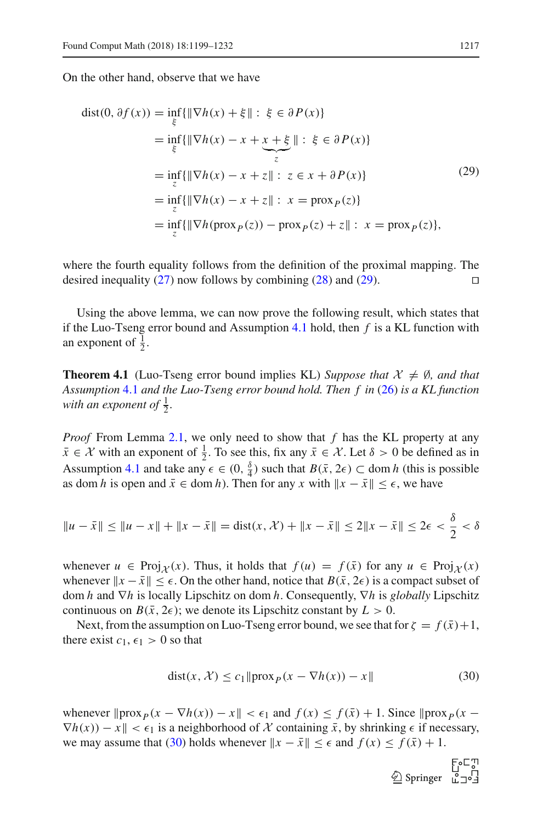On the other hand, observe that we have

<span id="page-18-0"></span>
$$
dist(0, \partial f(x)) = \inf_{\xi} {\|\nabla h(x) + \xi\| : \xi \in \partial P(x)}= \inf_{\xi} {\|\nabla h(x) - x + x + \xi\| : \xi \in \partial P(x)}= \inf_{z} {\|\nabla h(x) - x + z\| : z \in x + \partial P(x)}= \inf_{z} {\|\nabla h(x) - x + z\| : x = \text{prox}_P(z)}= \inf_{z} {\|\nabla h(\text{prox}_P(z)) - \text{prox}_P(z) + z\| : x = \text{prox}_P(z)},
$$
(29)

where the fourth equality follows from the definition of the proximal mapping. The desired inequality [\(27\)](#page-17-3) now follows by combining [\(28\)](#page-17-4) and [\(29\)](#page-18-0).  $\square$ 

Using the above lemma, we can now prove the following result, which states that if the Luo-Tseng error bound and Assumption [4.1](#page-17-2) hold, then *f* is a KL function with an exponent of  $\frac{1}{2}$ .

<span id="page-18-2"></span>**Theorem 4.1** (Luo-Tseng error bound implies KL) *Suppose that*  $\mathcal{X} \neq \emptyset$ *, and that Assumption* [4.1](#page-17-2) *and the Luo-Tseng error bound hold. Then f in* [\(26\)](#page-17-1) *is a KL function* with an exponent of  $\frac{1}{2}$ .

*Proof* From Lemma [2.1,](#page-6-2) we only need to show that *f* has the KL property at any  $\bar{x} \in \mathcal{X}$  with an exponent of  $\frac{1}{2}$ . To see this, fix any  $\bar{x} \in \mathcal{X}$ . Let  $\delta > 0$  be defined as in Assumption [4.1](#page-17-2) and take any  $\epsilon \in (0, \frac{\delta}{4})$  such that  $B(\bar{x}, 2\epsilon) \subset \text{dom } h$  (this is possible as dom *h* is open and  $\bar{x} \in \text{dom } h$ . Then for any *x* with  $\|x - \bar{x}\| \leq \epsilon$ , we have

$$
\|u - \bar{x}\| \le \|u - x\| + \|x - \bar{x}\| = \text{dist}(x, \mathcal{X}) + \|x - \bar{x}\| \le 2\|x - \bar{x}\| \le 2\epsilon < \frac{\delta}{2} < \delta
$$

whenever  $u \in \text{Proj}_{\mathcal{X}}(x)$ . Thus, it holds that  $f(u) = f(\bar{x})$  for any  $u \in \text{Proj}_{\mathcal{X}}(x)$ whenever  $\|x - \bar{x}\| \leq \epsilon$ . On the other hand, notice that  $B(\bar{x}, 2\epsilon)$  is a compact subset of dom *h* and ∇*h* is locally Lipschitz on dom *h*. Consequently, ∇*h* is *globally* Lipschitz continuous on  $B(\bar{x}, 2\epsilon)$ ; we denote its Lipschitz constant by  $L > 0$ .

Next, from the assumption on Luo-Tseng error bound, we see that for  $\zeta = f(\bar{x})+1$ , there exist  $c_1$ ,  $\epsilon_1 > 0$  so that

<span id="page-18-1"></span>
$$
dist(x, \mathcal{X}) \le c_1 \|\text{prox}_P(x - \nabla h(x)) - x\|
$$
\n(30)

whenever  $\|{\text{prox}}_P(x - \nabla h(x)) - x\| < \epsilon_1$  and  $f(x) \le f(\bar{x}) + 1$ . Since  $\|{\text{prox}}_P(x \nabla h(x) - x \le \epsilon_1$  is a neighborhood of *X* containing  $\bar{x}$ , by shrinking  $\epsilon$  if necessary, we may assume that [\(30\)](#page-18-1) holds whenever  $x - \bar{x}$  ≤  $\epsilon$  and  $f(x) \le f(\bar{x}) + 1$ .

 $\begin{array}{c}\n\text{For } \mathbb{Z} \\
\text{Springer} \quad \downarrow^{\circ} \\
\text{L} \rightarrow^{\circ} \\
\text{I} \end{array}$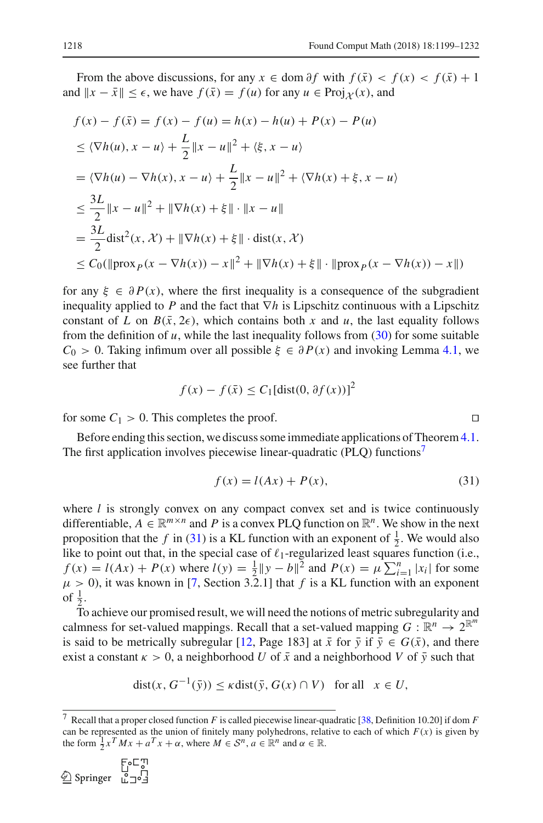From the above discussions, for any  $x \in \text{dom } \partial f$  with  $f(\bar{x}) < f(x) < f(\bar{x}) + 1$ and  $||x - \bar{x}|| \leq \epsilon$ , we have  $f(\bar{x}) = f(u)$  for any  $u \in \text{Proj}_{\mathcal{X}}(x)$ , and

$$
f(x) - f(\bar{x}) = f(x) - f(u) = h(x) - h(u) + P(x) - P(u)
$$
  
\n
$$
\leq \langle \nabla h(u), x - u \rangle + \frac{L}{2} ||x - u||^2 + \langle \xi, x - u \rangle
$$
  
\n
$$
= \langle \nabla h(u) - \nabla h(x), x - u \rangle + \frac{L}{2} ||x - u||^2 + \langle \nabla h(x) + \xi, x - u \rangle
$$
  
\n
$$
\leq \frac{3L}{2} ||x - u||^2 + ||\nabla h(x) + \xi|| \cdot ||x - u||
$$
  
\n
$$
= \frac{3L}{2} \text{dist}^2(x, \mathcal{X}) + ||\nabla h(x) + \xi|| \cdot \text{dist}(x, \mathcal{X})
$$
  
\n
$$
\leq C_0(||\text{prox}_P(x - \nabla h(x)) - x||^2 + ||\nabla h(x) + \xi|| \cdot ||\text{prox}_P(x - \nabla h(x)) - x||)
$$

for any  $\xi \in \partial P(x)$ , where the first inequality is a consequence of the subgradient inequality applied to *P* and the fact that ∇*h* is Lipschitz continuous with a Lipschitz constant of *L* on  $B(\bar{x}, 2\epsilon)$ , which contains both *x* and *u*, the last equality follows from the definition of  $u$ , while the last inequality follows from  $(30)$  for some suitable  $C_0 > 0$ . Taking infimum over all possible  $\xi \in \partial P(x)$  and invoking Lemma [4.1,](#page-17-5) we see further that

$$
f(x) - f(\bar{x}) \le C_1[\text{dist}(0, \partial f(x))]^2
$$

for some  $C_1 > 0$ . This completes the proof.

Before ending this section, we discuss some immediate applications of Theorem [4.1.](#page-18-2) The first application involves piecewise linear-quadratic (PLQ) functions<sup>7</sup>

<span id="page-19-1"></span>
$$
f(x) = l(Ax) + P(x),\tag{31}
$$

where *l* is strongly convex on any compact convex set and is twice continuously differentiable,  $A \in \mathbb{R}^{m \times n}$  and P is a convex PLQ function on  $\mathbb{R}^n$ . We show in the next proposition that the *f* in [\(31\)](#page-19-1) is a KL function with an exponent of  $\frac{1}{2}$ . We would also like to point out that, in the special case of  $\ell_1$ -regularized least squares function (i.e.,  $f(x) = l(Ax) + P(x)$  where  $l(y) = \frac{1}{2} ||y - b||^2$  and  $P(x) = \mu \sum_{i=1}^n |x_i|$  for some  $\mu > 0$ ), it was known in [\[7,](#page-31-4) Section 3.2.1] that *f* is a KL function with an exponent of  $\frac{1}{2}$ .

To achieve our promised result, we will need the notions of metric subregularity and calmness for set-valued mappings. Recall that a set-valued mapping  $G : \mathbb{R}^n \to 2^{\mathbb{R}^m}$ is said to be metrically subregular [\[12](#page-31-11), Page 183] at  $\bar{x}$  for  $\bar{y}$  if  $\bar{y} \in G(\bar{x})$ , and there exist a constant  $\kappa > 0$ , a neighborhood *U* of  $\bar{x}$  and a neighborhood *V* of  $\bar{y}$  such that

$$
dist(x, G^{-1}(\bar{y})) \leq \kappa dist(\bar{y}, G(x) \cap V) \text{ for all } x \in U,
$$

F∘⊏™  $\textcircled{2}$  Springer  $\bar{L}$   $\exists$   $\circ$   $\exists$ 

<span id="page-19-0"></span><sup>7</sup> Recall that a proper closed function *F* is called piecewise linear-quadratic [\[38](#page-32-14), Definition 10.20] if dom *F* can be represented as the union of finitely many polyhedrons, relative to each of which  $F(x)$  is given by the form  $\frac{1}{2}x^TMx + a^Tx + \alpha$ , where  $M \in S^n$ ,  $a \in \mathbb{R}^n$  and  $\alpha \in \mathbb{R}$ .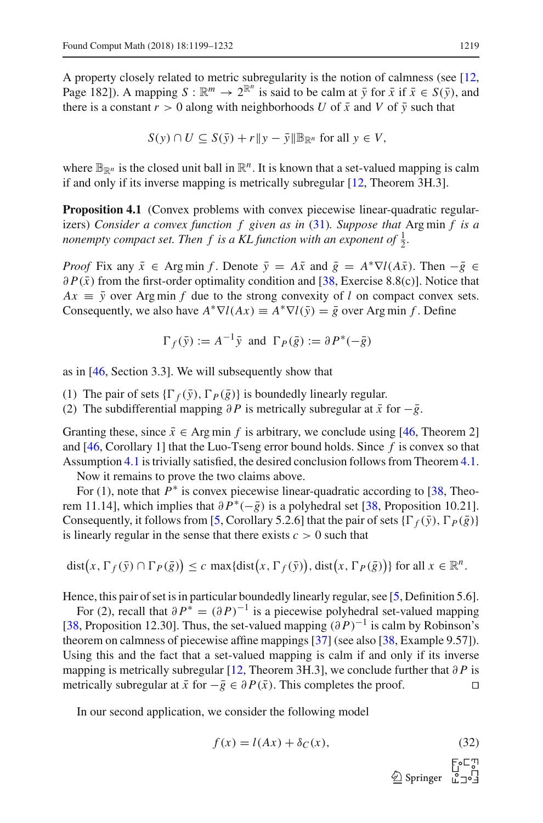A property closely related to metric subregularity is the notion of calmness (see [\[12,](#page-31-11) Page 182]). A mapping  $S : \mathbb{R}^m \to 2^{\mathbb{R}^n}$  is said to be calm at  $\bar{y}$  for  $\bar{x}$  if  $\bar{x} \in S(\bar{y})$ , and there is a constant  $r > 0$  along with neighborhoods *U* of  $\bar{x}$  and *V* of  $\bar{y}$  such that

$$
S(y) \cap U \subseteq S(\bar{y}) + r \| y - \bar{y} \| \mathbb{B}_{\mathbb{R}^n} \text{ for all } y \in V,
$$

<span id="page-20-1"></span>where  $\mathbb{B}_{\mathbb{R}^n}$  is the closed unit ball in  $\mathbb{R}^n$ . It is known that a set-valued mapping is calm if and only if its inverse mapping is metrically subregular [\[12,](#page-31-11) Theorem 3H.3].

**Proposition 4.1** (Convex problems with convex piecewise linear-quadratic regularizers) *Consider a convex function f given as in* [\(31\)](#page-19-1)*. Suppose that* Arg min *f is a nonempty compact set. Then f is a KL function with an exponent of*  $\frac{1}{2}$ *.* 

*Proof* Fix any  $\bar{x} \in \text{Arg min } f$ . Denote  $\bar{y} = A\bar{x}$  and  $\bar{g} = A^* \nabla l(A\bar{x})$ . Then  $-\bar{g} \in$  $\partial P(\bar{x})$  from the first-order optimality condition and [\[38](#page-32-14), Exercise 8.8(c)]. Notice that  $Ax \equiv \bar{y}$  over Arg min *f* due to the strong convexity of *l* on compact convex sets. Consequently, we also have  $A^* \nabla l(Ax) \equiv A^* \nabla l(\bar{y}) = \bar{g}$  over Arg min *f*. Define

$$
\Gamma_f(\bar{y}) := A^{-1}\bar{y} \text{ and } \Gamma_P(\bar{g}) := \partial P^*(-\bar{g})
$$

as in [\[46](#page-33-2), Section 3.3]. We will subsequently show that

- (1) The pair of sets  $\{\Gamma_f(\bar{y}), \Gamma_p(\bar{g})\}$  is boundedly linearly regular.
- (2) The subdifferential mapping  $\partial P$  is metrically subregular at  $\bar{x}$  for  $-\bar{g}$ .

Granting these, since  $\bar{x} \in \text{Arg min } f$  is arbitrary, we conclude using [\[46](#page-33-2), Theorem 2] and [\[46,](#page-33-2) Corollary 1] that the Luo-Tseng error bound holds. Since *f* is convex so that Assumption [4.1](#page-17-2) is trivially satisfied, the desired conclusion follows from Theorem [4.1.](#page-18-2)

Now it remains to prove the two claims above.

For (1), note that  $P^*$  is convex piecewise linear-quadratic according to [\[38](#page-32-14), Theorem 11.14], which implies that  $\partial P^*(-\overline{g})$  is a polyhedral set [\[38](#page-32-14), Proposition 10.21]. Consequently, it follows from [\[5](#page-31-12), Corollary 5.2.6] that the pair of sets  $\{\Gamma_f(\bar{y}), \Gamma_P(\bar{g})\}$ is linearly regular in the sense that there exists  $c > 0$  such that

$$
dist(x, \Gamma_f(\bar{y}) \cap \Gamma_P(\bar{g})) \le c \max\{dist(x, \Gamma_f(\bar{y})), dist(x, \Gamma_P(\bar{g}))\} \text{ for all } x \in \mathbb{R}^n.
$$

Hence, this pair of set is in particular boundedly linearly regular, see [\[5,](#page-31-12) Definition 5.6].

For (2), recall that  $\partial P^* = (\partial P)^{-1}$  is a piecewise polyhedral set-valued mapping [\[38](#page-32-14), Proposition 12.30]. Thus, the set-valued mapping (∂ *P*)−<sup>1</sup> is calm by Robinson's theorem on calmness of piecewise affine mappings [\[37](#page-32-20)] (see also [\[38,](#page-32-14) Example 9.57]). Using this and the fact that a set-valued mapping is calm if and only if its inverse mapping is metrically subregular [\[12,](#page-31-11) Theorem 3H.3], we conclude further that  $\partial P$  is metrically subregular at  $\bar{x}$  for  $-\bar{g} \in \partial P(\bar{x})$ . This completes the proof. □

In our second application, we consider the following model

<span id="page-20-0"></span>
$$
f(x) = l(Ax) + \delta_C(x),\tag{32}
$$

 $\bigcirc$  Springer  $\bigcirc$   $\Box$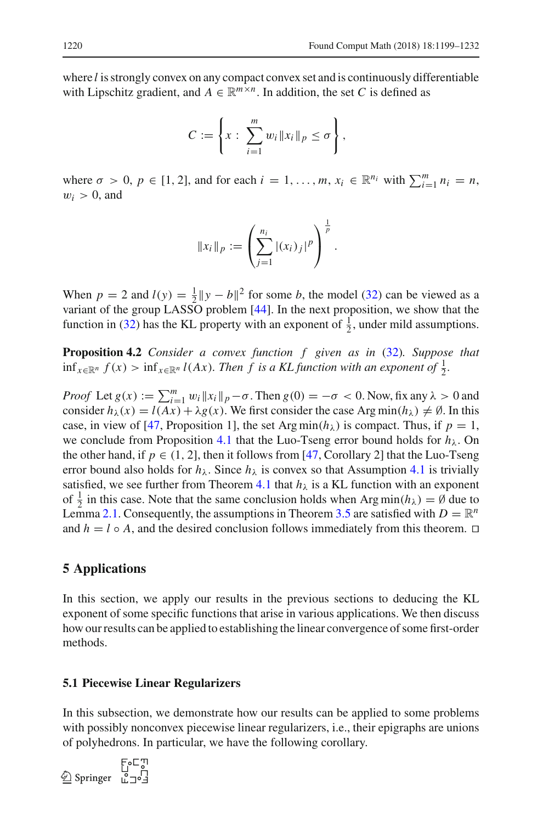where *l* is strongly convex on any compact convex set and is continuously differentiable with Lipschitz gradient, and  $A \in \mathbb{R}^{m \times n}$ . In addition, the set *C* is defined as

$$
C:=\left\{x:\ \sum_{i=1}^m w_i\|x_i\|_p\leq\sigma\right\},\
$$

where  $\sigma > 0$ ,  $p \in [1, 2]$ , and for each  $i = 1, \ldots, m$ ,  $x_i \in \mathbb{R}^{n_i}$  with  $\sum_{i=1}^{m} n_i = n$ ,  $w_i > 0$ , and

$$
||x_i||_p := \left(\sum_{j=1}^{n_i} |(x_i)_j|^p\right)^{\frac{1}{p}}.
$$

When  $p = 2$  and  $l(y) = \frac{1}{2} ||y - b||^2$  for some *b*, the model [\(32\)](#page-20-0) can be viewed as a variant of the group LASSO problem [\[44\]](#page-33-3). In the next proposition, we show that the function in [\(32\)](#page-20-0) has the KL property with an exponent of  $\frac{1}{2}$ , under mild assumptions.

<span id="page-21-1"></span>**Proposition 4.2** *Consider a convex function f given as in* [\(32\)](#page-20-0)*. Suppose that*  $\inf_{x \in \mathbb{R}^n} f(x) > \inf_{x \in \mathbb{R}^n} l(Ax)$ *. Then f is a KL function with an exponent of*  $\frac{1}{2}$ *.* 

*Proof* Let  $g(x) := \sum_{i=1}^{m} w_i ||x_i||_p - \sigma$ . Then  $g(0) = -\sigma < 0$ . Now, fix any  $\lambda > 0$  and consider  $h_{\lambda}(x) = l(Ax) + \lambda g(x)$ . We first consider the case Arg min( $h_{\lambda}$ )  $\neq \emptyset$ . In this case, in view of [\[47](#page-33-4), Proposition 1], the set Arg min $(h_\lambda)$  is compact. Thus, if  $p = 1$ , we conclude from Proposition [4.1](#page-20-1) that the Luo-Tseng error bound holds for  $h_{\lambda}$ . On the other hand, if  $p \in (1, 2]$ , then it follows from [\[47,](#page-33-4) Corollary 2] that the Luo-Tseng error bound also holds for  $h_{\lambda}$ . Since  $h_{\lambda}$  is convex so that Assumption [4.1](#page-17-2) is trivially satisfied, we see further from Theorem [4.1](#page-18-2) that  $h_{\lambda}$  is a KL function with an exponent of  $\frac{1}{2}$  in this case. Note that the same conclusion holds when Arg min $(h_\lambda) = \emptyset$  due to Lemma [2.1.](#page-6-2) Consequently, the assumptions in Theorem [3.5](#page-12-0) are satisfied with  $D = \mathbb{R}^n$ and  $h = l \circ A$ , and the desired conclusion follows immediately from this theorem.  $\Box$ 

# <span id="page-21-0"></span>**5 Applications**

In this section, we apply our results in the previous sections to deducing the KL exponent of some specific functions that arise in various applications. We then discuss how our results can be applied to establishing the linear convergence of some first-order methods.

#### <span id="page-21-3"></span>**5.1 Piecewise Linear Regularizers**

In this subsection, we demonstrate how our results can be applied to some problems with possibly nonconvex piecewise linear regularizers, *i.e.*, their epigraphs are unions of polyhedrons. In particular, we have the following corollary.

<span id="page-21-2"></span>اس E<br>17<br>12∘1 Springer <u>©</u>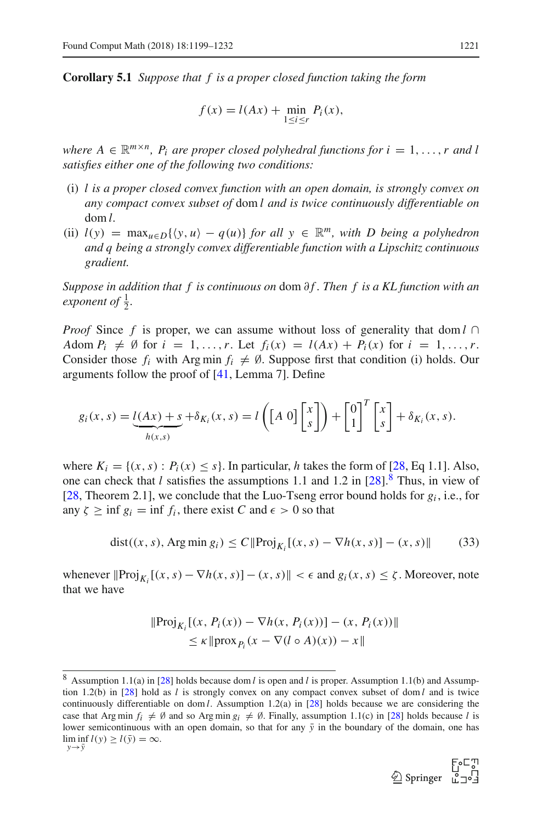**Corollary 5.1** *Suppose that f is a proper closed function taking the form*

$$
f(x) = l(Ax) + \min_{1 \le i \le r} P_i(x),
$$

*where*  $A \in \mathbb{R}^{m \times n}$ ,  $P_i$  *are proper closed polyhedral functions for*  $i = 1, \ldots, r$  *and l satisfies either one of the following two conditions:*

- (i) *l is a proper closed convex function with an open domain, is strongly convex on any compact convex subset of* dom *l and is twice continuously differentiable on* dom *l.*
- (ii)  $l(y) = \max_{u \in D} \{ \langle y, u \rangle q(u) \}$  *for all*  $y \in \mathbb{R}^m$ *, with D* being a polyhedron *and q being a strongly convex differentiable function with a Lipschitz continuous gradient.*

*Suppose in addition that f is continuous on dom ∂f. Then f is a KL function with an exponent of*  $\frac{1}{2}$ *.* 

*Proof* Since *f* is proper, we can assume without loss of generality that dom *l* ∩ *A*dom  $P_i \neq \emptyset$  for  $i = 1, ..., r$ . Let  $f_i(x) = l(Ax) + P_i(x)$  for  $i = 1, ..., r$ . Consider those  $f_i$  with Arg min  $f_i \neq \emptyset$ . Suppose first that condition (i) holds. Our arguments follow the proof of [\[41,](#page-32-13) Lemma 7]. Define

$$
g_i(x, s) = \underbrace{l(Ax) + s}_{h(x, s)} + \delta_{K_i}(x, s) = l\left(\begin{bmatrix} A & 0 \end{bmatrix} \begin{bmatrix} x \\ s \end{bmatrix}\right) + \begin{bmatrix} 0 \\ 1 \end{bmatrix}^T \begin{bmatrix} x \\ s \end{bmatrix} + \delta_{K_i}(x, s).
$$

where  $K_i = \{(x, s) : P_i(x) \leq s\}$ . In particular, *h* takes the form of [\[28](#page-32-10), Eq 1.1]. Also, one can check that *l* satisfies the assumptions 1.1 and 1.2 in  $[28]$ .<sup>[8](#page-22-0)</sup> Thus, in view of [\[28](#page-32-10), Theorem 2.1], we conclude that the Luo-Tseng error bound holds for  $g_i$ , i.e., for any  $\zeta \ge \inf g_i = \inf f_i$ , there exist C and  $\epsilon > 0$  so that

<span id="page-22-1"></span>
$$
dist((x, s), Arg min g_i) \le C \|Proj_{K_i} [(x, s) - \nabla h(x, s)] - (x, s) \|
$$
 (33)

whenever  $\|\text{Proj}_{K_i}[(x, s) - \nabla h(x, s)] - (x, s)\| < \epsilon$  and  $g_i(x, s) \le \zeta$ . Moreover, note that we have

$$
\|\text{Proj}_{K_i}[(x, P_i(x)) - \nabla h(x, P_i(x))] - (x, P_i(x))\|
$$
  
\$\leq \kappa \|\text{prox}\_{P\_i}(x - \nabla (l \circ A)(x)) - x\|\$

<span id="page-22-0"></span><sup>8</sup> Assumption 1.1(a) in [\[28\]](#page-32-10) holds because dom *l* is open and *l* is proper. Assumption 1.1(b) and Assumption 1.2(b) in [\[28\]](#page-32-10) hold as *l* is strongly convex on any compact convex subset of dom *l* and is twice continuously differentiable on dom *l*. Assumption 1.2(a) in [\[28\]](#page-32-10) holds because we are considering the case that Arg min  $f_i \neq \emptyset$  and so Arg min  $g_i \neq \emptyset$ . Finally, assumption 1.1(c) in [\[28](#page-32-10)] holds because *l* is lower semicontinuous with an open domain, so that for any  $\bar{y}$  in the boundary of the domain, one has  $\liminf_{y \to \bar{y}} l(y) \ge l(\bar{y}) = \infty.$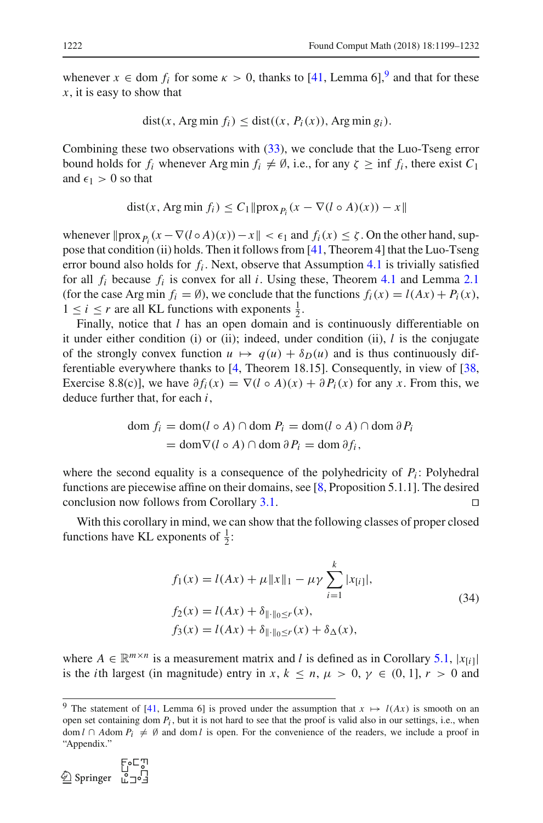whenever  $x \in$  dom  $f_i$  for some  $\kappa > 0$ , thanks to [\[41](#page-32-13), Lemma 6],<sup>[9](#page-23-0)</sup> and that for these *x*, it is easy to show that

$$
dist(x, Arg min fi) \leq dist((x, Pi(x)), Arg min gi).
$$

Combining these two observations with [\(33\)](#page-22-1), we conclude that the Luo-Tseng error bound holds for  $f_i$  whenever Arg min  $f_i \neq \emptyset$ , i.e., for any  $\zeta \geq \inf f_i$ , there exist  $C_1$ and  $\epsilon_1 > 0$  so that

$$
dist(x, Arg min f_i) \le C_1 \|prox_{P_i}(x - \nabla (l \circ A)(x)) - x\|
$$

whenever  $\|\text{prox}_{P_i}(x - \nabla(l \circ A)(x)) - x\| < \epsilon_1$  and  $f_i(x) \le \zeta$ . On the other hand, suppose that condition (ii) holds. Then it follows from [\[41,](#page-32-13) Theorem 4] that the Luo-Tseng error bound also holds for  $f_i$ . Next, observe that Assumption [4.1](#page-17-2) is trivially satisfied for all  $f_i$  because  $f_i$  is convex for all *i*. Using these, Theorem [4.1](#page-18-2) and Lemma [2.1](#page-6-2) (for the case Arg min  $f_i = \emptyset$ ), we conclude that the functions  $f_i(x) = l(Ax) + P_i(x)$ ,  $1 \leq i \leq r$  are all KL functions with exponents  $\frac{1}{2}$ .

Finally, notice that *l* has an open domain and is continuously differentiable on it under either condition (i) or (ii); indeed, under condition (ii),  $l$  is the conjugate of the strongly convex function  $u \mapsto q(u) + \delta p(u)$  and is thus continuously differentiable everywhere thanks to [\[4](#page-31-7), Theorem 18.15]. Consequently, in view of [\[38,](#page-32-14) Exercise 8.8(c)], we have  $\partial f_i(x) = \nabla (l \circ A)(x) + \partial P_i(x)$  for any *x*. From this, we deduce further that, for each *i*,

$$
\text{dom } f_i = \text{dom}(l \circ A) \cap \text{dom } P_i = \text{dom}(l \circ A) \cap \text{dom } \partial P_i
$$
\n
$$
= \text{dom } \nabla(l \circ A) \cap \text{dom } \partial P_i = \text{dom } \partial f_i,
$$

where the second equality is a consequence of the polyhedricity of  $P_i$ : Polyhedral functions are piecewise affine on their domains, see  $[8,$  $[8,$  Proposition 5.1.1]. The desired conclusion now follows from Corollary [3.1.](#page-8-0)

With this corollary in mind, we can show that the following classes of proper closed functions have KL exponents of  $\frac{1}{2}$ :

<span id="page-23-1"></span>
$$
f_1(x) = l(Ax) + \mu \|x\|_1 - \mu \gamma \sum_{i=1}^k |x_{[i]}|,
$$
  
\n
$$
f_2(x) = l(Ax) + \delta_{\|\cdot\|_0 \le r}(x),
$$
  
\n
$$
f_3(x) = l(Ax) + \delta_{\|\cdot\|_0 \le r}(x) + \delta_\Delta(x),
$$
\n(34)

where  $A \in \mathbb{R}^{m \times n}$  is a measurement matrix and *l* is defined as in Corollary [5.1,](#page-21-2)  $|x_{[i]}|$ is the *i*th largest (in magnitude) entry in *x*,  $k \le n$ ,  $\mu > 0$ ,  $\gamma \in (0, 1]$ ,  $r > 0$  and

<span id="page-23-0"></span><sup>&</sup>lt;sup>9</sup> The statement of [\[41](#page-32-13), Lemma 6] is proved under the assumption that  $x \mapsto l(Ax)$  is smooth on an open set containing dom  $P_i$ , but it is not hard to see that the proof is valid also in our settings, i.e., when dom *l* ∩ *A*dom  $P_i \neq \emptyset$  and dom *l* is open. For the convenience of the readers, we include a proof in "Appendix."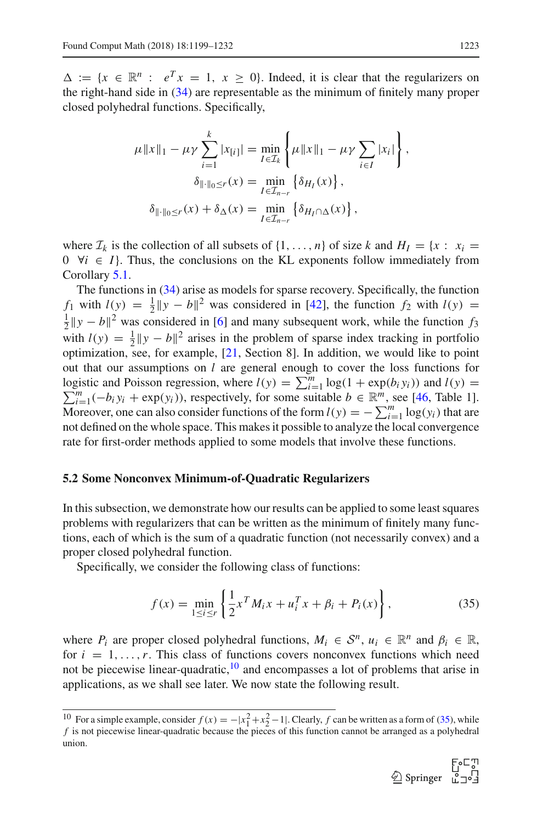$\Delta := \{x \in \mathbb{R}^n : e^T x = 1, x \ge 0\}$ . Indeed, it is clear that the regularizers on the right-hand side in [\(34\)](#page-23-1) are representable as the minimum of finitely many proper closed polyhedral functions. Specifically,

$$
\mu \|x\|_1 - \mu \gamma \sum_{i=1}^k |x_{[i]}| = \min_{I \in \mathcal{I}_k} \left\{ \mu \|x\|_1 - \mu \gamma \sum_{i \in I} |x_i| \right\},
$$

$$
\delta_{\|\cdot\|_0 \le r}(x) = \min_{I \in \mathcal{I}_{n-r}} \left\{ \delta_{H_I}(x) \right\},
$$

$$
\delta_{\|\cdot\|_0 \le r}(x) + \delta_{\Delta}(x) = \min_{I \in \mathcal{I}_{n-r}} \left\{ \delta_{H_I \cap \Delta}(x) \right\},
$$

where  $\mathcal{I}_k$  is the collection of all subsets of  $\{1, \ldots, n\}$  of size *k* and  $H_I = \{x : x_i =$  $0 \ \forall i \in I$ . Thus, the conclusions on the KL exponents follow immediately from Corollary [5.1.](#page-21-2)

The functions in [\(34\)](#page-23-1) arise as models for sparse recovery. Specifically, the function *f*<sub>1</sub> with  $l(y) = \frac{1}{2} \|y - b\|^2$  was considered in [\[42\]](#page-32-21), the function *f*<sub>2</sub> with  $l(y) = \frac{1}{2} \|y - b\|^2$  was considered in [6] and many subsequent work, while the function *f*<sub>2</sub>  $\frac{1}{2} ||y - b||^2$  was considered in [\[6\]](#page-31-6) and many subsequent work, while the function *f*<sub>3</sub> with  $l(y) = \frac{1}{2} \|y - b\|^2$  arises in the problem of sparse index tracking in portfolio optimization, see, for example, [\[21,](#page-32-22) Section 8]. In addition, we would like to point out that our assumptions on *l* are general enough to cover the loss functions for logistic and Poisson regression, where  $l(y) = \sum_{i=1}^{m} \log(1 + \exp(b_i y_i))$  and  $l(y) = \sum_{i=1}^{m} (b_i y_i + \exp(b_i y_i))$  respectively for some suitable  $b \in \mathbb{R}^m$  see 146. Table 11  $\sum_{i=1}^{m}(-b_iy_i + \exp(y_i))$ , respectively, for some suitable  $b \in \mathbb{R}^m$ , see [\[46,](#page-33-2) Table 1]. Moreover, one can also consider functions of the form  $l(y) = -\sum_{i=1}^{m} \log(y_i)$  that are not defined on the whole space. This makes it possible to analyze the local convergence rate for first-order methods applied to some models that involve these functions.

## <span id="page-24-3"></span>**5.2 Some Nonconvex Minimum-of-Quadratic Regularizers**

In this subsection, we demonstrate how our results can be applied to some least squares problems with regularizers that can be written as the minimum of finitely many functions, each of which is the sum of a quadratic function (not necessarily convex) and a proper closed polyhedral function.

Specifically, we consider the following class of functions:

<span id="page-24-1"></span>
$$
f(x) = \min_{1 \le i \le r} \left\{ \frac{1}{2} x^T M_i x + u_i^T x + \beta_i + P_i(x) \right\},\tag{35}
$$

where  $P_i$  are proper closed polyhedral functions,  $M_i \in S^n$ ,  $u_i \in \mathbb{R}^n$  and  $\beta_i \in \mathbb{R}$ , for  $i = 1, \ldots, r$ . This class of functions covers nonconvex functions which need not be piecewise linear-quadratic, $10$  and encompasses a lot of problems that arise in applications, as we shall see later. We now state the following result.

<span id="page-24-2"></span>

<span id="page-24-0"></span><sup>&</sup>lt;sup>10</sup> For a simple example, consider  $f(x) = -|x_1|^2 + x_2^2 - 1|$ . Clearly, f can be written as a form of [\(35\)](#page-24-1), while f is not piecewise linear-quadratic because the pieces of this function cannot be arranged as a polyhedral union.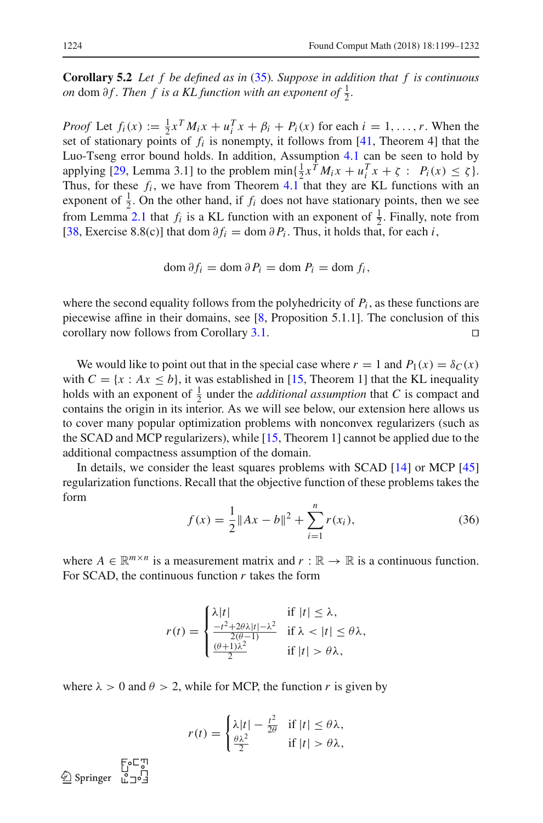**Corollary 5.2** *Let f be defined as in* [\(35\)](#page-24-1)*. Suppose in addition that f is continuous on* dom  $\partial f$ *. Then*  $f$  *is a KL function with an exponent of*  $\frac{1}{2}$ *.* 

*Proof* Let  $f_i(x) := \frac{1}{2} x^T M_i x + u_i^T x + \beta_i + P_i(x)$  for each  $i = 1, ..., r$ . When the set of stationary points of  $f_i$  is nonempty, it follows from  $[41,$  Theorem 4] that the Luo-Tseng error bound holds. In addition, Assumption [4.1](#page-17-2) can be seen to hold by applying [\[29,](#page-32-23) Lemma 3.1] to the problem  $\min\{\frac{1}{2}x^TM_ix + u_i^Tx + \zeta : P_i(x) \leq \zeta\}.$ Thus, for these  $f_i$ , we have from Theorem [4.1](#page-18-2) that they are KL functions with an exponent of  $\frac{1}{2}$ . On the other hand, if  $f_i$  does not have stationary points, then we see from Lemma [2.1](#page-6-2) that  $f_i$  is a KL function with an exponent of  $\frac{1}{2}$ . Finally, note from [\[38](#page-32-14), Exercise 8.8(c)] that dom  $\partial f_i = \text{dom }\partial P_i$ . Thus, it holds that, for each *i*,

$$
\operatorname{dom} \partial f_i = \operatorname{dom} \partial P_i = \operatorname{dom} P_i = \operatorname{dom} f_i,
$$

where the second equality follows from the polyhedricity of  $P_i$ , as these functions are piecewise affine in their domains, see [\[8](#page-31-13), Proposition 5.1.1]. The conclusion of this corollary now follows from Corollary [3.1.](#page-8-0)

We would like to point out that in the special case where  $r = 1$  and  $P_1(x) = \delta_C(x)$ with  $C = \{x : Ax \leq b\}$ , it was established in [\[15,](#page-32-24) Theorem 1] that the KL inequality holds with an exponent of  $\frac{1}{2}$  under the *additional assumption* that *C* is compact and contains the origin in its interior. As we will see below, our extension here allows us to cover many popular optimization problems with nonconvex regularizers (such as the SCAD and MCP regularizers), while [\[15](#page-32-24), Theorem 1] cannot be applied due to the additional compactness assumption of the domain.

In details, we consider the least squares problems with SCAD [\[14\]](#page-31-5) or MCP [\[45\]](#page-33-1) regularization functions. Recall that the objective function of these problems takes the form

<span id="page-25-0"></span>
$$
f(x) = \frac{1}{2} ||Ax - b||^2 + \sum_{i=1}^{n} r(x_i),
$$
 (36)

where  $A \in \mathbb{R}^{m \times n}$  is a measurement matrix and  $r : \mathbb{R} \to \mathbb{R}$  is a continuous function. For SCAD, the continuous function *r* takes the form

$$
r(t) = \begin{cases} \lambda |t| & \text{if } |t| \leq \lambda, \\ \frac{-t^2 + 2\theta\lambda|t| - \lambda^2}{2(\theta - 1)} & \text{if } \lambda < |t| \leq \theta\lambda, \\ \frac{(\theta + 1)\lambda^2}{2} & \text{if } |t| > \theta\lambda, \end{cases}
$$

where  $\lambda > 0$  and  $\theta > 2$ , while for MCP, the function *r* is given by

$$
r(t) = \begin{cases} \lambda |t| - \frac{t^2}{2\theta} & \text{if } |t| \le \theta \lambda, \\ \frac{\theta \lambda^2}{2} & \text{if } |t| > \theta \lambda, \end{cases}
$$

F.C.T<br>| Springer<br>| Springer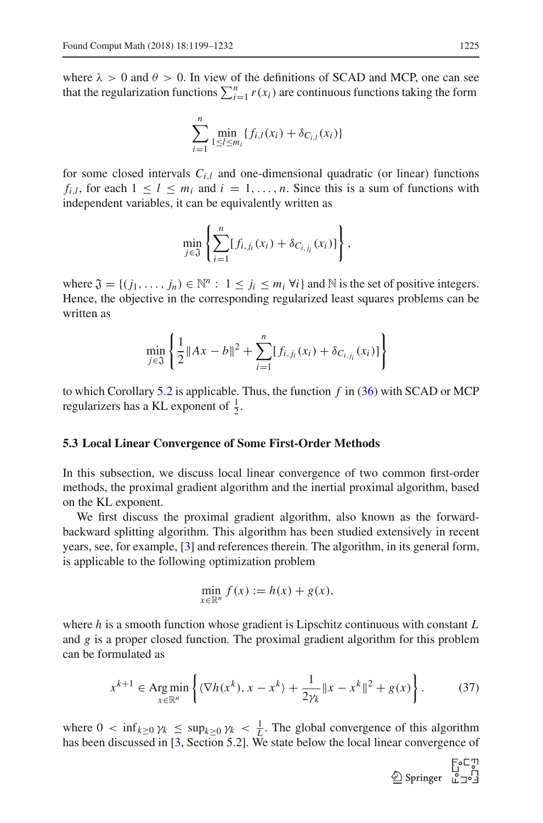where  $\lambda > 0$  and  $\theta > 0$ . In view of the definitions of SCAD and MCP, one can see that the regularization functions  $\sum_{i=1}^{n} r(x_i)$  are continuous functions taking the form

$$
\sum_{i=1}^{n} \min_{1 \leq l \leq m_i} \{ f_{i,l}(x_i) + \delta_{C_{i,l}}(x_i) \}
$$

for some closed intervals  $C_{i,l}$  and one-dimensional quadratic (or linear) functions  $f_{i,l}$ , for each  $1 \leq l \leq m_i$  and  $i = 1, \ldots, n$ . Since this is a sum of functions with independent variables, it can be equivalently written as

$$
\min_{j \in \mathfrak{J}} \left\{ \sum_{i=1}^n [f_{i,j_i}(x_i) + \delta_{C_{i,j_i}}(x_i)] \right\},\,
$$

where  $\mathfrak{J} = \{(j_1, \ldots, j_n) \in \mathbb{N}^n : 1 \le j_i \le m_i \forall i\}$  and  $\mathbb{N}$  is the set of positive integers. Hence, the objective in the corresponding regularized least squares problems can be written as

$$
\min_{j \in \mathfrak{J}} \left\{ \frac{1}{2} \|Ax - b\|^2 + \sum_{i=1}^n [f_{i,j_i}(x_i) + \delta_{C_{i,j_i}}(x_i)] \right\}
$$

to which Corollary [5.2](#page-24-2) is applicable. Thus, the function *f* in [\(36\)](#page-25-0) with SCAD or MCP regularizers has a KL exponent of  $\frac{1}{2}$ .

#### **5.3 Local Linear Convergence of Some First-Order Methods**

In this subsection, we discuss local linear convergence of two common first-order methods, the proximal gradient algorithm and the inertial proximal algorithm, based on the KL exponent.

We first discuss the proximal gradient algorithm, also known as the forwardbackward splitting algorithm. This algorithm has been studied extensively in recent years, see, for example, [\[3](#page-31-1)] and references therein. The algorithm, in its general form, is applicable to the following optimization problem

$$
\min_{x \in \mathbb{R}^n} f(x) := h(x) + g(x),
$$

where *h* is a smooth function whose gradient is Lipschitz continuous with constant *L* and *g* is a proper closed function. The proximal gradient algorithm for this problem can be formulated as

<span id="page-26-0"></span>
$$
x^{k+1} \in \operatorname{Arg\,min}_{x \in \mathbb{R}^n} \left\{ \langle \nabla h(x^k), x - x^k \rangle + \frac{1}{2\gamma_k} \|x - x^k\|^2 + g(x) \right\}.
$$
 (37)

where  $0 < \inf_{k \geq 0} \gamma_k \leq \sup_{k \geq 0} \gamma_k < \frac{1}{L}$ . The global convergence of this algorithm has been discussed in [\[3](#page-31-1), Section 5.2]. We state below the local linear convergence of

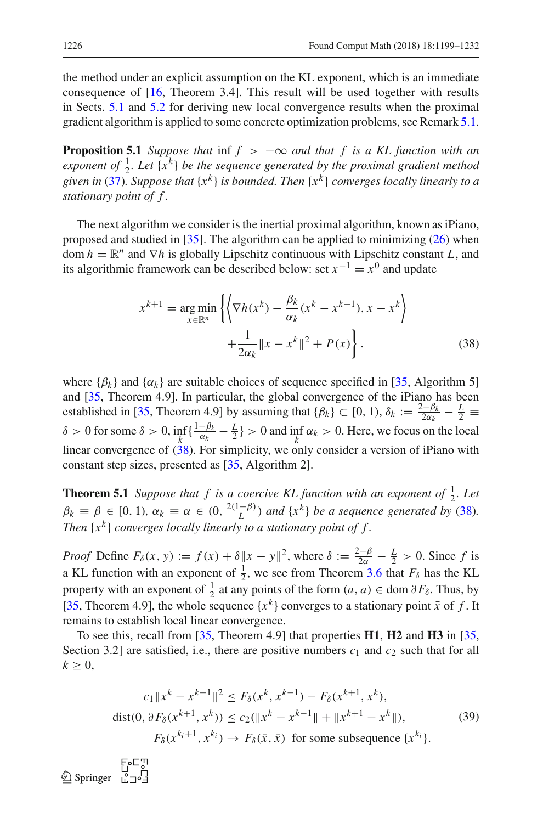the method under an explicit assumption on the KL exponent, which is an immediate consequence of [\[16](#page-32-5), Theorem 3.4]. This result will be used together with results in Sects. [5.1](#page-21-3) and [5.2](#page-24-3) for deriving new local convergence results when the proximal gradient algorithm is applied to some concrete optimization problems, see Remark [5.1.](#page-28-0)

<span id="page-27-3"></span>**Proposition 5.1** *Suppose that* inf  $f > -\infty$  *and that*  $f$  *is a KL function with an* exponent of  $\frac{1}{2}$ *. Let*  $\{x^k\}$  *be the sequence generated by the proximal gradient method given in* [\(37\)](#page-26-0)*. Suppose that* {*x<sup>k</sup>* } *is bounded. Then* {*x<sup>k</sup>* } *converges locally linearly to a stationary point of f .*

The next algorithm we consider is the inertial proximal algorithm, known as iPiano, proposed and studied in [\[35](#page-32-4)]. The algorithm can be applied to minimizing [\(26\)](#page-17-1) when dom  $h = \mathbb{R}^n$  and  $\nabla h$  is globally Lipschitz continuous with Lipschitz constant *L*, and its algorithmic framework can be described below: set  $x^{-1} = x^0$  and update

<span id="page-27-1"></span>
$$
x^{k+1} = \underset{x \in \mathbb{R}^n}{\arg \min} \left\{ \left\langle \nabla h(x^k) - \frac{\beta_k}{\alpha_k} (x^k - x^{k-1}), x - x^k \right\rangle + \frac{1}{2\alpha_k} \|x - x^k\|^2 + P(x) \right\}.
$$
 (38)

where  $\{\beta_k\}$  and  $\{\alpha_k\}$  are suitable choices of sequence specified in [\[35](#page-32-4), Algorithm 5] and [\[35](#page-32-4), Theorem 4.9]. In particular, the global convergence of the iPiano has been established in [\[35](#page-32-4), Theorem 4.9] by assuming that  $\{\beta_k\} \subset [0, 1), \delta_k := \frac{2-\beta_k}{2\alpha_k} - \frac{L}{2}$ δ > 0 for some δ > 0,  $\inf_k \{\frac{1-\beta_k}{\alpha_k} - \frac{L}{2}\}$  > 0 and  $\inf_k \alpha_k$  > 0. Here, we focus on the local linear convergence of  $(38)$ . For simplicity, we only consider a version of iPiano with constant step sizes, presented as [\[35](#page-32-4), Algorithm 2].

<span id="page-27-0"></span>**Theorem 5.1** *Suppose that*  $f$  *is a coercive KL function with an exponent of*  $\frac{1}{2}$ *. Let*  $\beta_k \equiv \beta \in [0, 1)$ ,  $\alpha_k \equiv \alpha \in (0, \frac{2(1-\beta)}{L})$  and  $\{x^k\}$  be a sequence generated by [\(38\)](#page-27-1). *Then*  $\{x^k\}$  *converges locally linearly to a stationary point of f.* 

*Proof* Define  $F_\delta(x, y) := f(x) + \delta \|x - y\|^2$ , where  $\delta := \frac{2-\beta}{2\alpha} - \frac{L}{2} > 0$ . Since f is a KL function with an exponent of  $\frac{1}{2}$ , we see from Theorem [3.6](#page-14-0) that  $F_\delta$  has the KL property with an exponent of  $\frac{1}{2}$  at any points of the form  $(a, a) \in \text{dom } \partial F_\delta$ . Thus, by [\[35](#page-32-4), Theorem 4.9], the whole sequence  $\{x^k\}$  converges to a stationary point  $\bar{x}$  of f. It remains to establish local linear convergence.

To see this, recall from [\[35](#page-32-4), Theorem 4.9] that properties **H1**, **H2** and **H3** in [\[35,](#page-32-4) Section 3.2] are satisfied, i.e., there are positive numbers  $c_1$  and  $c_2$  such that for all  $k \geq 0$ ,

<span id="page-27-2"></span>
$$
c_1 \|x^k - x^{k-1}\|^2 \le F_\delta(x^k, x^{k-1}) - F_\delta(x^{k+1}, x^k),
$$
  
dist(0,  $\partial F_\delta(x^{k+1}, x^k)) \le c_2 (\|x^k - x^{k-1}\| + \|x^{k+1} - x^k\|),$   

$$
F_\delta(x^{k_i+1}, x^{k_i}) \to F_\delta(\bar{x}, \bar{x}) \text{ for some subsequence } \{x^{k_i}\}.
$$
 (39)

 $\begin{array}{ccc}\n & \text{EoC}_{J}^{\text{U}} \\
\text{Springer} & \text{L}_{J}^{\text{U}}\n\end{array}$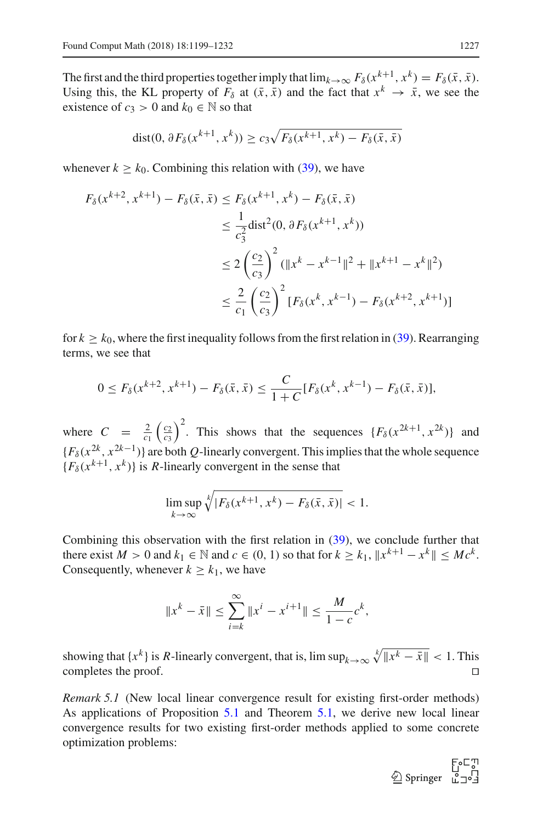The first and the third properties together imply that  $\lim_{k\to\infty} F_\delta(x^{k+1}, x^k) = F_\delta(\bar{x}, \bar{x})$ . Using this, the KL property of  $F_\delta$  at  $(\bar{x}, \bar{x})$  and the fact that  $x^k \to \bar{x}$ , we see the existence of  $c_3 > 0$  and  $k_0 \in \mathbb{N}$  so that

$$
dist(0, \partial F_{\delta}(x^{k+1}, x^k)) \ge c_3 \sqrt{F_{\delta}(x^{k+1}, x^k) - F_{\delta}(\bar{x}, \bar{x})}
$$

whenever  $k \geq k_0$ . Combining this relation with [\(39\)](#page-27-2), we have

$$
F_{\delta}(x^{k+2}, x^{k+1}) - F_{\delta}(\bar{x}, \bar{x}) \le F_{\delta}(x^{k+1}, x^k) - F_{\delta}(\bar{x}, \bar{x})
$$
  
\n
$$
\le \frac{1}{c_3^2} \text{dist}^2(0, \partial F_{\delta}(x^{k+1}, x^k))
$$
  
\n
$$
\le 2\left(\frac{c_2}{c_3}\right)^2 (\|x^k - x^{k-1}\|^2 + \|x^{k+1} - x^k\|^2)
$$
  
\n
$$
\le \frac{2}{c_1} \left(\frac{c_2}{c_3}\right)^2 [F_{\delta}(x^k, x^{k-1}) - F_{\delta}(x^{k+2}, x^{k+1})]
$$

for  $k \geq k_0$ , where the first inequality follows from the first relation in [\(39\)](#page-27-2). Rearranging terms, we see that

$$
0 \le F_{\delta}(x^{k+2}, x^{k+1}) - F_{\delta}(\bar{x}, \bar{x}) \le \frac{C}{1+C} [F_{\delta}(x^k, x^{k-1}) - F_{\delta}(\bar{x}, \bar{x})],
$$

where  $C = \frac{2}{c_1} \left(\frac{c_2}{c_3}\right)^2$ . This shows that the sequences  $\{F_\delta(x^{2k+1}, x^{2k})\}$  and  ${F_{\delta}(x^{2k}, x^{2k-1})}$  are both *Q*-linearly convergent. This implies that the whole sequence  ${F_\delta(x^{k+1}, x^k)}$  is *R*-linearly convergent in the sense that

$$
\limsup_{k\to\infty}\sqrt[k]{|F_\delta(x^{k+1},x^k)-F_\delta(\bar{x},\bar{x})|}<1.
$$

Combining this observation with the first relation in [\(39\)](#page-27-2), we conclude further that there exist  $M > 0$  and  $k_1 \in \mathbb{N}$  and  $c \in (0, 1)$  so that for  $k \geq k_1$ ,  $||x^{k+1} - x^k|| \leq Mc^k$ . Consequently, whenever  $k \geq k_1$ , we have

$$
||x^{k} - \bar{x}|| \le \sum_{i=k}^{\infty} ||x^{i} - x^{i+1}|| \le \frac{M}{1 - c} c^{k},
$$

showing that  $\{x^k\}$  is *R*-linearly convergent, that is,  $\limsup_{k\to\infty} \sqrt[k]{\|x^k - \bar{x}\|} < 1$ . This completes the proof.

<span id="page-28-0"></span>*Remark 5.1* (New local linear convergence result for existing first-order methods) As applications of Proposition [5.1](#page-27-3) and Theorem [5.1,](#page-27-0) we derive new local linear convergence results for two existing first-order methods applied to some concrete optimization problems:

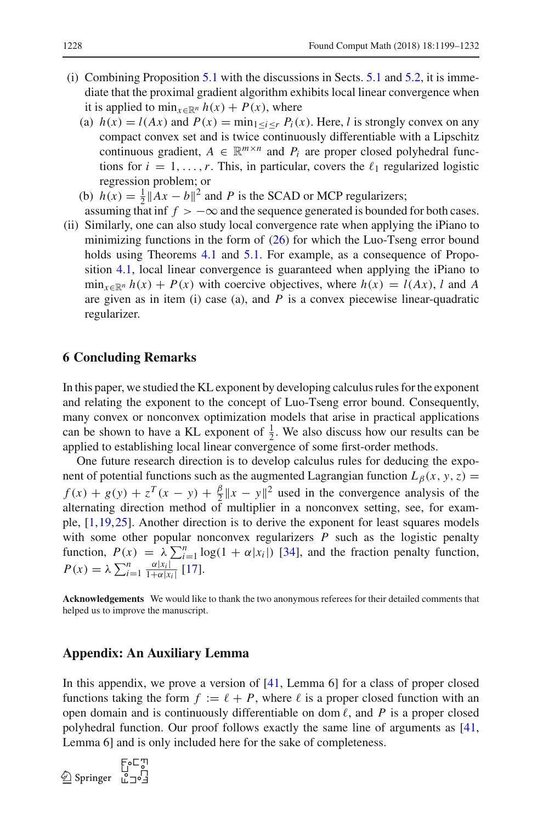- (i) Combining Proposition [5.1](#page-27-3) with the discussions in Sects. [5.1](#page-21-3) and [5.2,](#page-24-3) it is immediate that the proximal gradient algorithm exhibits local linear convergence when it is applied to  $\min_{x \in \mathbb{R}^n} h(x) + P(x)$ , where
	- (a)  $h(x) = l(Ax)$  and  $P(x) = \min_{1 \le i \le r} P_i(x)$ . Here, *l* is strongly convex on any compact convex set and is twice continuously differentiable with a Lipschitz continuous gradient,  $A \in \mathbb{R}^{m \times n}$  and  $P_i$  are proper closed polyhedral functions for  $i = 1, \ldots, r$ . This, in particular, covers the  $\ell_1$  regularized logistic regression problem; or
	- (b)  $h(x) = \frac{1}{2} ||Ax b||^2$  and *P* is the SCAD or MCP regularizers;
- assuming that inf  $f > -\infty$  and the sequence generated is bounded for both cases. (ii) Similarly, one can also study local convergence rate when applying the iPiano to
- minimizing functions in the form of  $(26)$  for which the Luo-Tseng error bound holds using Theorems [4.1](#page-18-2) and [5.1.](#page-27-0) For example, as a consequence of Proposition [4.1,](#page-20-1) local linear convergence is guaranteed when applying the iPiano to  $\min_{x \in \mathbb{R}^n} h(x) + P(x)$  with coercive objectives, where  $h(x) = l(Ax)$ , *l* and *A* are given as in item (i) case (a), and *P* is a convex piecewise linear-quadratic regularizer.

# <span id="page-29-0"></span>**6 Concluding Remarks**

In this paper, we studied the KL exponent by developing calculus rules for the exponent and relating the exponent to the concept of Luo-Tseng error bound. Consequently, many convex or nonconvex optimization models that arise in practical applications can be shown to have a KL exponent of  $\frac{1}{2}$ . We also discuss how our results can be applied to establishing local linear convergence of some first-order methods.

One future research direction is to develop calculus rules for deducing the exponent of potential functions such as the augmented Lagrangian function  $L_\beta(x, y, z) =$  $f(x) + g(y) + z^T(x - y) + \frac{\beta}{2} ||x - y||^2$  used in the convergence analysis of the alternating direction method of multiplier in a nonconvex setting, see, for example, [\[1](#page-31-0)[,19](#page-32-0)[,25](#page-32-25)]. Another direction is to derive the exponent for least squares models with some other popular nonconvex regularizers *P* such as the logistic penalty function,  $P(x) = \lambda \sum_{i=1}^{n} \log(1 + \alpha |x_i|)$  [\[34](#page-32-26)], and the fraction penalty function,  $P(x) = \lambda \sum_{i=1}^{n} \frac{\alpha |x_i|}{1 + \alpha |x_i|}$  [\[17](#page-32-27)].

**Acknowledgements** We would like to thank the two anonymous referees for their detailed comments that helped us to improve the manuscript.

# **Appendix: An Auxiliary Lemma**

In this appendix, we prove a version of [\[41,](#page-32-13) Lemma 6] for a class of proper closed functions taking the form  $f := \ell + P$ , where  $\ell$  is a proper closed function with an open domain and is continuously differentiable on dom  $\ell$ , and  $P$  is a proper closed polyhedral function. Our proof follows exactly the same line of arguments as [\[41,](#page-32-13) Lemma 6] and is only included here for the sake of completeness.

الي⊃ه E<br>10<br>12∘ت Springer ⊈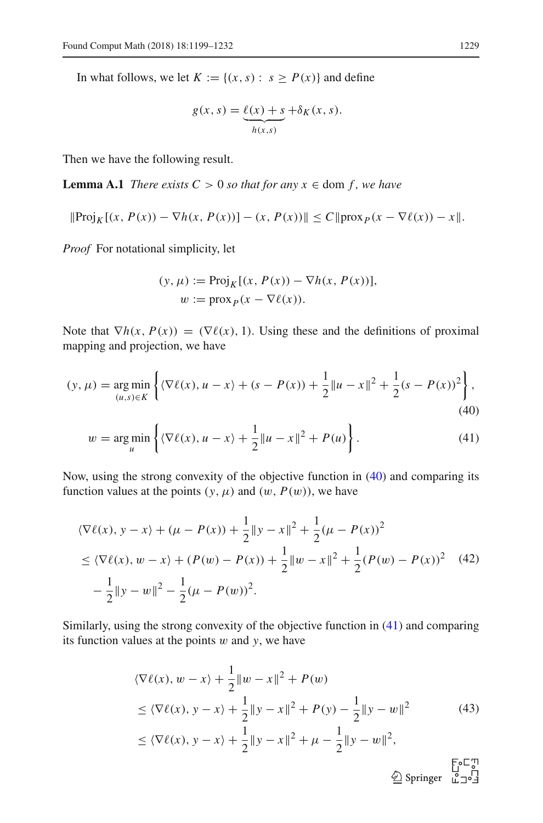In what follows, we let  $K := \{(x, s) : s \ge P(x)\}\$ and define

$$
g(x, s) = \underbrace{\ell(x) + s}_{h(x, s)} + \delta_K(x, s).
$$

Then we have the following result.

**Lemma A.1** *There exists*  $C > 0$  *so that for any*  $x \in \text{dom } f$ *, we have* 

$$
\|\text{Proj}_K[(x, P(x)) - \nabla h(x, P(x))] - (x, P(x))\| \le C \|\text{prox}_P(x - \nabla \ell(x)) - x\|.
$$

*Proof* For notational simplicity, let

<span id="page-30-1"></span><span id="page-30-0"></span>
$$
(y, \mu) := \text{Proj}_{K}[(x, P(x)) - \nabla h(x, P(x))],
$$
  

$$
w := \text{prox}_{P}(x - \nabla \ell(x)).
$$

Note that  $\nabla h(x, P(x)) = (\nabla \ell(x), 1)$ . Using these and the definitions of proximal mapping and projection, we have

$$
(y, \mu) = \underset{(u,s)\in K}{\arg\min} \left\{ \langle \nabla \ell(x), u - x \rangle + (s - P(x)) + \frac{1}{2} ||u - x||^2 + \frac{1}{2} (s - P(x))^2 \right\},\tag{40}
$$

$$
w = \underset{u}{\arg\min} \left\{ \langle \nabla \ell(x), u - x \rangle + \frac{1}{2} \| u - x \|^2 + P(u) \right\}.
$$
 (41)

Now, using the strong convexity of the objective function in [\(40\)](#page-30-0) and comparing its function values at the points  $(y, \mu)$  and  $(w, P(w))$ , we have

<span id="page-30-2"></span>
$$
\langle \nabla \ell(x), y - x \rangle + (\mu - P(x)) + \frac{1}{2} \|y - x\|^2 + \frac{1}{2} (\mu - P(x))^2
$$
  
\n
$$
\leq \langle \nabla \ell(x), w - x \rangle + (P(w) - P(x)) + \frac{1}{2} \|w - x\|^2 + \frac{1}{2} (P(w) - P(x))^2 \quad (42)
$$
  
\n
$$
- \frac{1}{2} \|y - w\|^2 - \frac{1}{2} (\mu - P(w))^2.
$$

Similarly, using the strong convexity of the objective function in [\(41\)](#page-30-1) and comparing its function values at the points w and *y*, we have

<span id="page-30-3"></span>
$$
\langle \nabla \ell(x), w - x \rangle + \frac{1}{2} \|w - x\|^2 + P(w)
$$
  
\n
$$
\leq \langle \nabla \ell(x), y - x \rangle + \frac{1}{2} \|y - x\|^2 + P(y) - \frac{1}{2} \|y - w\|^2
$$
(43)  
\n
$$
\leq \langle \nabla \ell(x), y - x \rangle + \frac{1}{2} \|y - x\|^2 + \mu - \frac{1}{2} \|y - w\|^2,
$$
  
\n
$$
\overset{\text{EoE}}{\leq} \text{Springer} \overset{\text{EoE}}{\leq} \text{J}^1
$$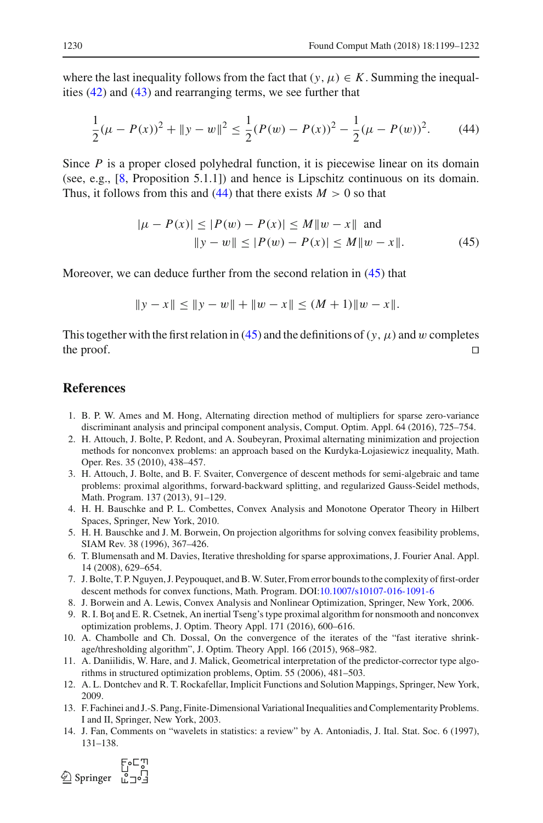where the last inequality follows from the fact that  $(y, \mu) \in K$ . Summing the inequalities [\(42\)](#page-30-2) and [\(43\)](#page-30-3) and rearranging terms, we see further that

<span id="page-31-14"></span>
$$
\frac{1}{2}(\mu - P(x))^{2} + \|y - w\|^{2} \le \frac{1}{2}(P(w) - P(x))^{2} - \frac{1}{2}(\mu - P(w))^{2}.
$$
 (44)

Since *P* is a proper closed polyhedral function, it is piecewise linear on its domain (see, e.g., [\[8](#page-31-13), Proposition 5.1.1]) and hence is Lipschitz continuous on its domain. Thus, it follows from this and  $(44)$  that there exists  $M > 0$  so that

<span id="page-31-15"></span>
$$
|\mu - P(x)| \le |P(w) - P(x)| \le M \|w - x\| \text{ and}
$$
  
 
$$
\|y - w\| \le |P(w) - P(x)| \le M \|w - x\|.
$$
 (45)

Moreover, we can deduce further from the second relation in [\(45\)](#page-31-15) that

$$
||y - x|| \le ||y - w|| + ||w - x|| \le (M + 1)||w - x||.
$$

This together with the first relation in [\(45\)](#page-31-15) and the definitions of ( $y$ ,  $\mu$ ) and w completes the proof.  $\Box$ 

### **References**

- <span id="page-31-0"></span>1. B. P. W. Ames and M. Hong, Alternating direction method of multipliers for sparse zero-variance discriminant analysis and principal component analysis, Comput. Optim. Appl. 64 (2016), 725–754.
- <span id="page-31-3"></span>2. H. Attouch, J. Bolte, P. Redont, and A. Soubeyran, Proximal alternating minimization and projection methods for nonconvex problems: an approach based on the Kurdyka-Lojasiewicz inequality, Math. Oper. Res. 35 (2010), 438–457.
- <span id="page-31-1"></span>3. H. Attouch, J. Bolte, and B. F. Svaiter, Convergence of descent methods for semi-algebraic and tame problems: proximal algorithms, forward-backward splitting, and regularized Gauss-Seidel methods, Math. Program. 137 (2013), 91–129.
- <span id="page-31-7"></span>4. H. H. Bauschke and P. L. Combettes, Convex Analysis and Monotone Operator Theory in Hilbert Spaces, Springer, New York, 2010.
- <span id="page-31-12"></span>5. H. H. Bauschke and J. M. Borwein, On projection algorithms for solving convex feasibility problems, SIAM Rev. 38 (1996), 367–426.
- <span id="page-31-6"></span>6. T. Blumensath and M. Davies, Iterative thresholding for sparse approximations, J. Fourier Anal. Appl. 14 (2008), 629–654.
- <span id="page-31-4"></span>7. J. Bolte, T. P. Nguyen, J. Peypouquet, and B.W. Suter, From error bounds to the complexity of first-order descent methods for convex functions, Math. Program. DOI[:10.1007/s10107-016-1091-6](http://dx.doi.org/10.1007/s10107-016-1091-6)
- <span id="page-31-13"></span>8. J. Borwein and A. Lewis, Convex Analysis and Nonlinear Optimization, Springer, New York, 2006.
- <span id="page-31-8"></span>9. R. I. Bot and E. R. Csetnek, An inertial Tseng's type proximal algorithm for nonsmooth and nonconvex optimization problems, J. Optim. Theory Appl. 171 (2016), 600–616.
- <span id="page-31-2"></span>10. A. Chambolle and Ch. Dossal, On the convergence of the iterates of the "fast iterative shrinkage/thresholding algorithm", J. Optim. Theory Appl. 166 (2015), 968–982.
- <span id="page-31-9"></span>11. A. Daniilidis, W. Hare, and J. Malick, Geometrical interpretation of the predictor-corrector type algorithms in structured optimization problems, Optim. 55 (2006), 481–503.
- <span id="page-31-11"></span>12. A. L. Dontchev and R. T. Rockafellar, Implicit Functions and Solution Mappings, Springer, New York, 2009.
- <span id="page-31-10"></span>13. F. Fachinei and J.-S. Pang, Finite-Dimensional Variational Inequalities and Complementarity Problems. I and II, Springer, New York, 2003.
- <span id="page-31-5"></span>14. J. Fan, Comments on "wavelets in statistics: a review" by A. Antoniadis, J. Ital. Stat. Soc. 6 (1997), 131–138.

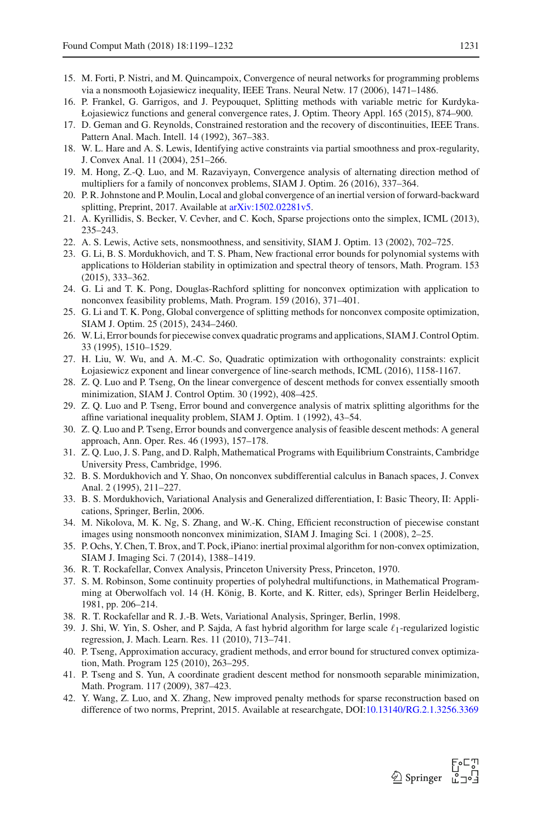- <span id="page-32-24"></span>15. M. Forti, P. Nistri, and M. Quincampoix, Convergence of neural networks for programming problems via a nonsmooth Łojasiewicz inequality, IEEE Trans. Neural Netw. 17 (2006), 1471–1486.
- <span id="page-32-5"></span>16. P. Frankel, G. Garrigos, and J. Peypouquet, Splitting methods with variable metric for Kurdyka-Łojasiewicz functions and general convergence rates, J. Optim. Theory Appl. 165 (2015), 874–900.
- <span id="page-32-27"></span>17. D. Geman and G. Reynolds, Constrained restoration and the recovery of discontinuities, IEEE Trans. Pattern Anal. Mach. Intell. 14 (1992), 367–383.
- <span id="page-32-18"></span>18. W. L. Hare and A. S. Lewis, Identifying active constraints via partial smoothness and prox-regularity, J. Convex Anal. 11 (2004), 251–266.
- <span id="page-32-0"></span>19. M. Hong, Z.-Q. Luo, and M. Razaviyayn, Convergence analysis of alternating direction method of multipliers for a family of nonconvex problems, SIAM J. Optim. 26 (2016), 337–364.
- <span id="page-32-1"></span>20. P. R. Johnstone and P. Moulin, Local and global convergence of an inertial version of forward-backward splitting, Preprint, 2017. Available at [arXiv:1502.02281v5.](http://arxiv.org/abs/1502.02281v5)
- <span id="page-32-22"></span>21. A. Kyrillidis, S. Becker, V. Cevher, and C. Koch, Sparse projections onto the simplex, ICML (2013), 235–243.
- <span id="page-32-19"></span>22. A. S. Lewis, Active sets, nonsmoothness, and sensitivity, SIAM J. Optim. 13 (2002), 702–725.
- <span id="page-32-7"></span>23. G. Li, B. S. Mordukhovich, and T. S. Pham, New fractional error bounds for polynomial systems with applications to Hölderian stability in optimization and spectral theory of tensors, Math. Program. 153 (2015), 333–362.
- <span id="page-32-2"></span>24. G. Li and T. K. Pong, Douglas-Rachford splitting for nonconvex optimization with application to nonconvex feasibility problems, Math. Program. 159 (2016), 371–401.
- <span id="page-32-25"></span>25. G. Li and T. K. Pong, Global convergence of splitting methods for nonconvex composite optimization, SIAM J. Optim. 25 (2015), 2434–2460.
- <span id="page-32-3"></span>26. W. Li, Error bounds for piecewise convex quadratic programs and applications, SIAM J. Control Optim. 33 (1995), 1510–1529.
- <span id="page-32-8"></span>27. H. Liu, W. Wu, and A. M.-C. So, Quadratic optimization with orthogonality constraints: explicit Łojasiewicz exponent and linear convergence of line-search methods, ICML (2016), 1158-1167.
- <span id="page-32-10"></span>28. Z. Q. Luo and P. Tseng, On the linear convergence of descent methods for convex essentially smooth minimization, SIAM J. Control Optim. 30 (1992), 408–425.
- <span id="page-32-23"></span>29. Z. Q. Luo and P. Tseng, Error bound and convergence analysis of matrix splitting algorithms for the affine variational inequality problem, SIAM J. Optim. 1 (1992), 43–54.
- <span id="page-32-11"></span>30. Z. Q. Luo and P. Tseng, Error bounds and convergence analysis of feasible descent methods: A general approach, Ann. Oper. Res. 46 (1993), 157–178.
- <span id="page-32-6"></span>31. Z. Q. Luo, J. S. Pang, and D. Ralph, Mathematical Programs with Equilibrium Constraints, Cambridge University Press, Cambridge, 1996.
- <span id="page-32-17"></span>32. B. S. Mordukhovich and Y. Shao, On nonconvex subdifferential calculus in Banach spaces, J. Convex Anal. 2 (1995), 211–227.
- <span id="page-32-15"></span>33. B. S. Mordukhovich, Variational Analysis and Generalized differentiation, I: Basic Theory, II: Applications, Springer, Berlin, 2006.
- <span id="page-32-26"></span>34. M. Nikolova, M. K. Ng, S. Zhang, and W.-K. Ching, Efficient reconstruction of piecewise constant images using nonsmooth nonconvex minimization, SIAM J. Imaging Sci. 1 (2008), 2–25.
- <span id="page-32-4"></span>35. P. Ochs, Y. Chen, T. Brox, and T. Pock, iPiano: inertial proximal algorithm for non-convex optimization, SIAM J. Imaging Sci. 7 (2014), 1388–1419.
- <span id="page-32-16"></span>36. R. T. Rockafellar, Convex Analysis, Princeton University Press, Princeton, 1970.
- <span id="page-32-20"></span>37. S. M. Robinson, Some continuity properties of polyhedral multifunctions, in Mathematical Programming at Oberwolfach vol. 14 (H. König, B. Korte, and K. Ritter, eds), Springer Berlin Heidelberg, 1981, pp. 206–214.
- <span id="page-32-14"></span>38. R. T. Rockafellar and R. J.-B. Wets, Variational Analysis, Springer, Berlin, 1998.
- <span id="page-32-9"></span>39. J. Shi, W. Yin, S. Osher, and P. Sajda, A fast hybrid algorithm for large scale  $\ell_1$ -regularized logistic regression, J. Mach. Learn. Res. 11 (2010), 713–741.
- <span id="page-32-12"></span>40. P. Tseng, Approximation accuracy, gradient methods, and error bound for structured convex optimization, Math. Program 125 (2010), 263–295.
- <span id="page-32-13"></span>41. P. Tseng and S. Yun, A coordinate gradient descent method for nonsmooth separable minimization, Math. Program. 117 (2009), 387–423.
- <span id="page-32-21"></span>42. Y. Wang, Z. Luo, and X. Zhang, New improved penalty methods for sparse reconstruction based on difference of two norms, Preprint, 2015. Available at researchgate, DOI[:10.13140/RG.2.1.3256.3369](http://dx.doi.org/10.13140/RG.2.1.3256.3369)